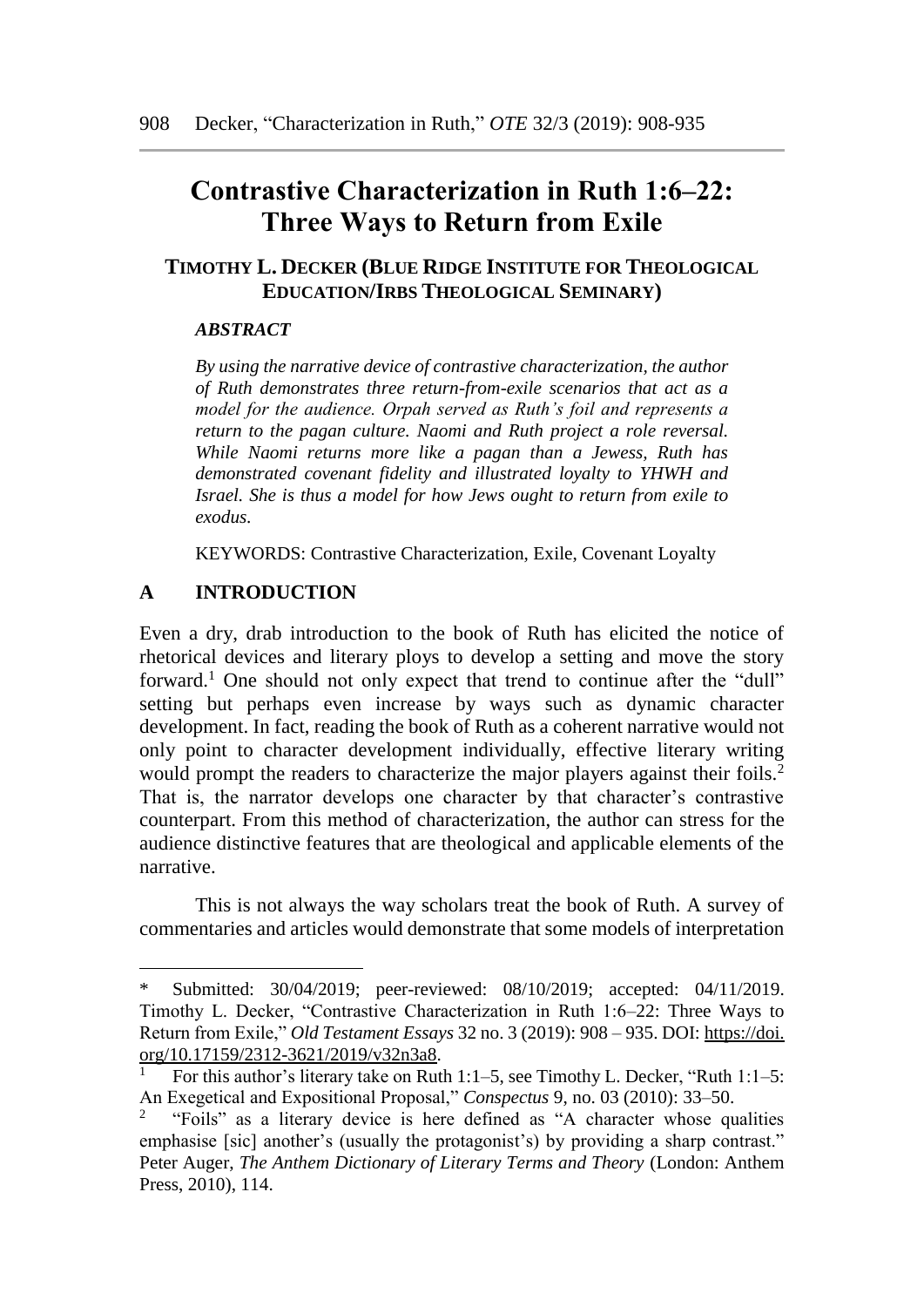# **Contrastive Characterization in Ruth 1:6–22: Three Ways to Return from Exile**

# **TIMOTHY L. DECKER (BLUE RIDGE INSTITUTE FOR THEOLOGICAL EDUCATION/IRBS THEOLOGICAL SEMINARY)**

## *ABSTRACT*

*By using the narrative device of contrastive characterization, the author of Ruth demonstrates three return-from-exile scenarios that act as a model for the audience. Orpah served as Ruth's foil and represents a return to the pagan culture. Naomi and Ruth project a role reversal. While Naomi returns more like a pagan than a Jewess, Ruth has demonstrated covenant fidelity and illustrated loyalty to YHWH and Israel. She is thus a model for how Jews ought to return from exile to exodus.* 

KEYWORDS: Contrastive Characterization, Exile, Covenant Loyalty

## **A INTRODUCTION**

 $\overline{a}$ 

Even a dry, drab introduction to the book of Ruth has elicited the notice of rhetorical devices and literary ploys to develop a setting and move the story forward.<sup>1</sup> One should not only expect that trend to continue after the "dull" setting but perhaps even increase by ways such as dynamic character development. In fact, reading the book of Ruth as a coherent narrative would not only point to character development individually, effective literary writing would prompt the readers to characterize the major players against their foils.<sup>2</sup> That is, the narrator develops one character by that character's contrastive counterpart. From this method of characterization, the author can stress for the audience distinctive features that are theological and applicable elements of the narrative.

This is not always the way scholars treat the book of Ruth. A survey of commentaries and articles would demonstrate that some models of interpretation

<sup>\*</sup> Submitted: 30/04/2019; peer-reviewed: 08/10/2019; accepted: 04/11/2019. Timothy L. Decker, "Contrastive Characterization in Ruth 1:6–22: Three Ways to Return from Exile," *Old Testament Essays* 32 no. 3 (2019): 908 – 935. DOI: https://doi. org/10.17159/2312-3621/2019/v32n3a8.

<sup>1</sup> For this author's literary take on Ruth 1:1–5, see Timothy L. Decker, "Ruth 1:1–5: An Exegetical and Expositional Proposal," *Conspectus* 9, no. 03 (2010): 33–50.

<sup>2</sup> "Foils" as a literary device is here defined as "A character whose qualities emphasise [sic] another's (usually the protagonist's) by providing a sharp contrast." Peter Auger, *The Anthem Dictionary of Literary Terms and Theory* (London: Anthem Press, 2010), 114.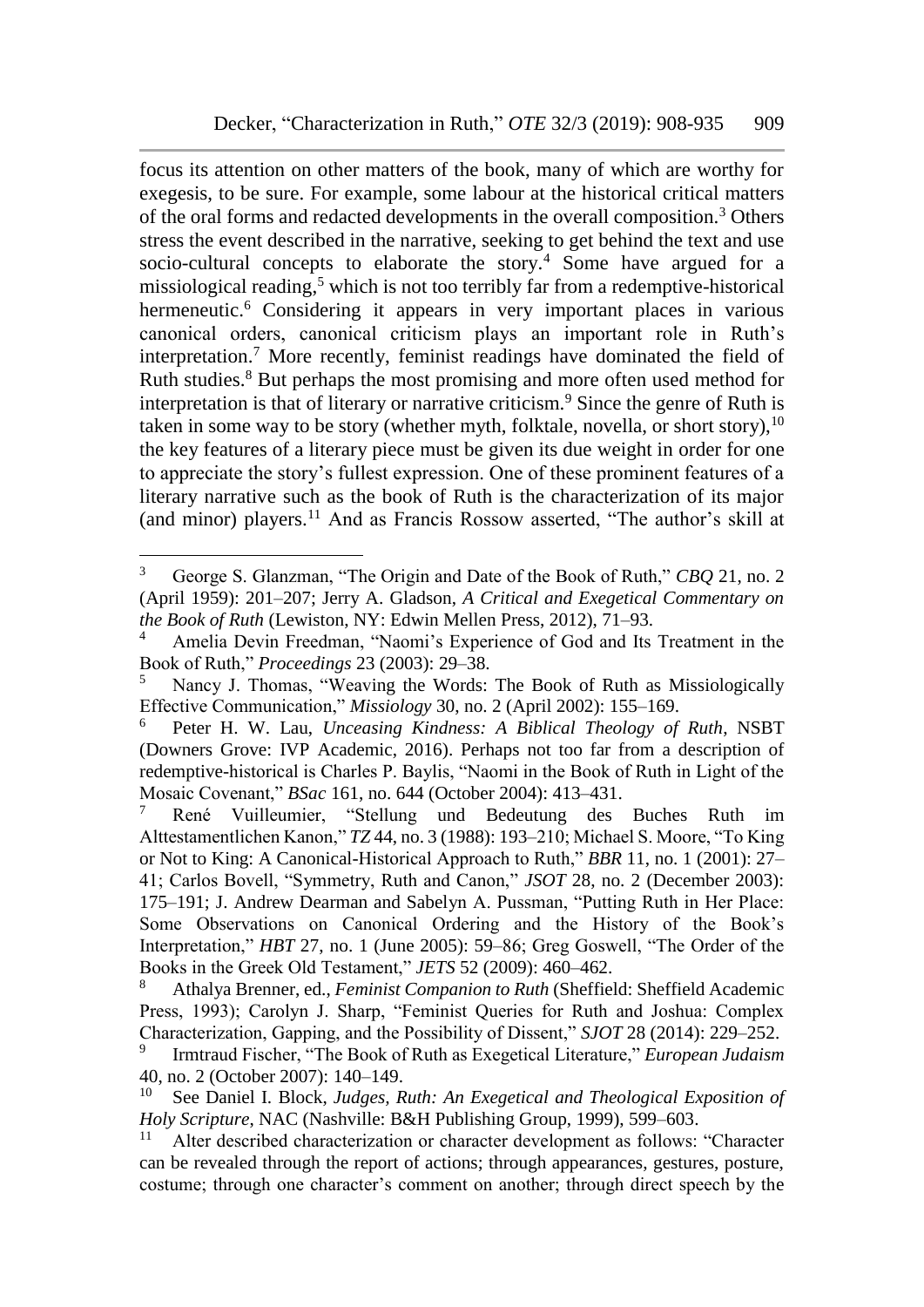focus its attention on other matters of the book, many of which are worthy for exegesis, to be sure. For example, some labour at the historical critical matters of the oral forms and redacted developments in the overall composition.<sup>3</sup> Others stress the event described in the narrative, seeking to get behind the text and use socio-cultural concepts to elaborate the story.<sup>4</sup> Some have argued for a missiological reading,<sup>5</sup> which is not too terribly far from a redemptive-historical hermeneutic.<sup>6</sup> Considering it appears in very important places in various canonical orders, canonical criticism plays an important role in Ruth's interpretation.<sup>7</sup> More recently, feminist readings have dominated the field of Ruth studies.<sup>8</sup> But perhaps the most promising and more often used method for interpretation is that of literary or narrative criticism.<sup>9</sup> Since the genre of Ruth is taken in some way to be story (whether myth, folktale, novella, or short story),  $10$ the key features of a literary piece must be given its due weight in order for one to appreciate the story's fullest expression. One of these prominent features of a literary narrative such as the book of Ruth is the characterization of its major (and minor) players.<sup>11</sup> And as Francis Rossow asserted, "The author's skill at

<sup>3</sup> George S. Glanzman, "The Origin and Date of the Book of Ruth," *CBQ* 21, no. 2 (April 1959): 201–207; Jerry A. Gladson, *A Critical and Exegetical Commentary on the Book of Ruth* (Lewiston, NY: Edwin Mellen Press, 2012), 71–93.

<sup>4</sup> Amelia Devin Freedman, "Naomi's Experience of God and Its Treatment in the Book of Ruth," *Proceedings* 23 (2003): 29–38.

<sup>5</sup> Nancy J. Thomas, "Weaving the Words: The Book of Ruth as Missiologically Effective Communication," *Missiology* 30, no. 2 (April 2002): 155–169.

<sup>6</sup> Peter H. W. Lau, *Unceasing Kindness: A Biblical Theology of Ruth*, NSBT (Downers Grove: IVP Academic, 2016). Perhaps not too far from a description of redemptive-historical is Charles P. Baylis, "Naomi in the Book of Ruth in Light of the Mosaic Covenant," *BSac* 161, no. 644 (October 2004): 413–431.

<sup>7</sup> René Vuilleumier, "Stellung und Bedeutung des Buches Ruth im Alttestamentlichen Kanon," *TZ* 44, no. 3 (1988): 193–210; Michael S. Moore, "To King or Not to King: A Canonical-Historical Approach to Ruth," *BBR* 11, no. 1 (2001): 27– 41; Carlos Bovell, "Symmetry, Ruth and Canon," *JSOT* 28, no. 2 (December 2003): 175–191; J. Andrew Dearman and Sabelyn A. Pussman, "Putting Ruth in Her Place: Some Observations on Canonical Ordering and the History of the Book's Interpretation," *HBT* 27, no. 1 (June 2005): 59–86; Greg Goswell, "The Order of the Books in the Greek Old Testament," *JETS* 52 (2009): 460–462.

<sup>8</sup> Athalya Brenner, ed., *Feminist Companion to Ruth* (Sheffield: Sheffield Academic Press, 1993); Carolyn J. Sharp, "Feminist Queries for Ruth and Joshua: Complex Characterization, Gapping, and the Possibility of Dissent," *SJOT* 28 (2014): 229–252.

<sup>9</sup> Irmtraud Fischer, "The Book of Ruth as Exegetical Literature," *European Judaism* 40, no. 2 (October 2007): 140–149.

See Daniel I. Block, *Judges, Ruth: An Exegetical and Theological Exposition of Holy Scripture*, NAC (Nashville: B&H Publishing Group, 1999), 599–603.

<sup>&</sup>lt;sup>11</sup> Alter described characterization or character development as follows: "Character can be revealed through the report of actions; through appearances, gestures, posture, costume; through one character's comment on another; through direct speech by the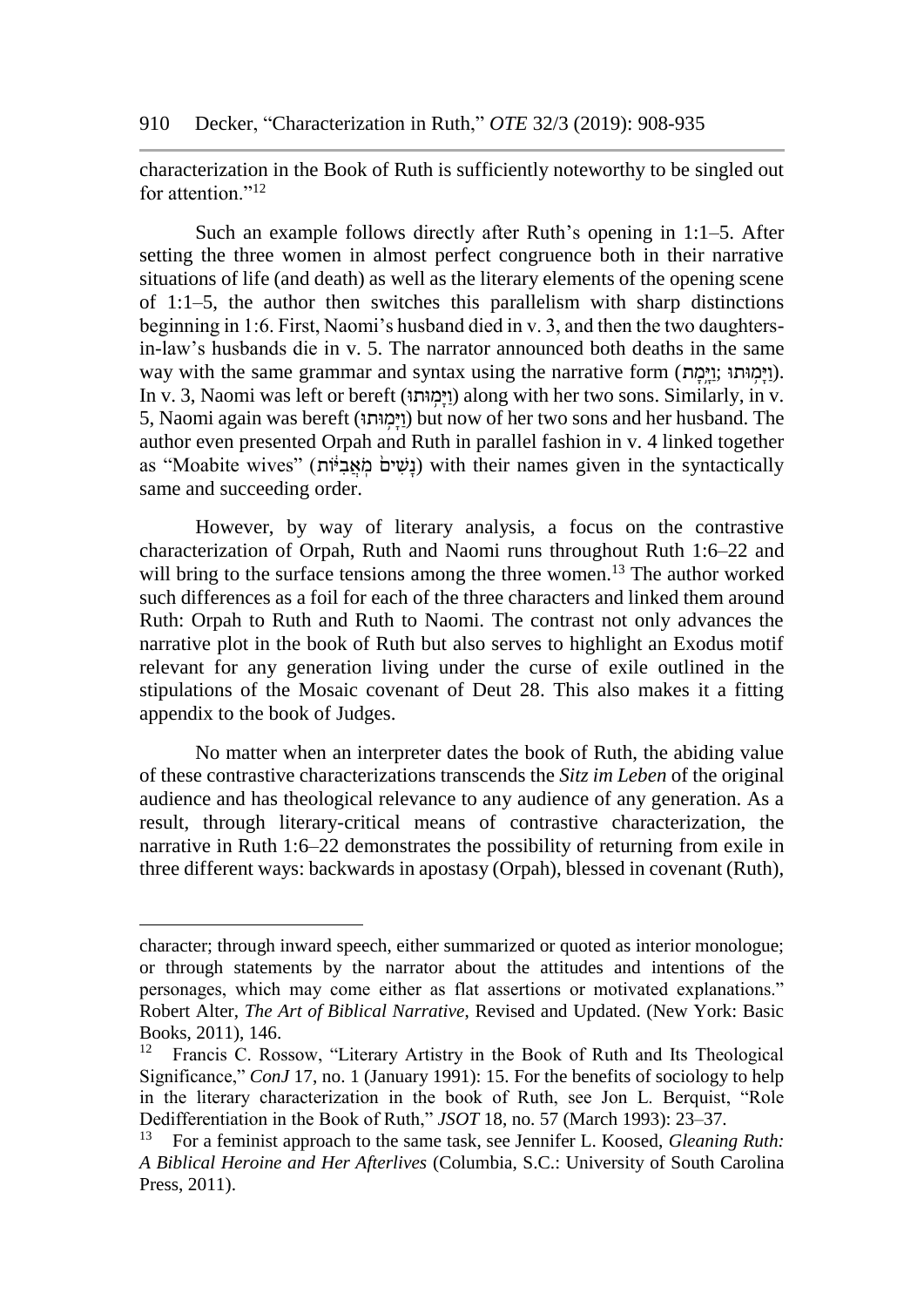characterization in the Book of Ruth is sufficiently noteworthy to be singled out for attention."<sup>12</sup>

Such an example follows directly after Ruth's opening in 1:1–5. After setting the three women in almost perfect congruence both in their narrative situations of life (and death) as well as the literary elements of the opening scene of 1:1–5, the author then switches this parallelism with sharp distinctions beginning in 1:6. First, Naomi's husband died in v. 3, and then the two daughtersin-law's husbands die in v. 5. The narrator announced both deaths in the same way with the same grammar and syntax using the narrative form (וימוּתוּ ;וימוּתוּ). In v. 3, Naomi was left or bereft (וימוּתוּ) along with her two sons. Similarly, in v. 5, Naomi again was bereft (וּותּ ָּ֥מ ָי ַו (but now of her two sons and her husband. The author even presented Orpah and Ruth in parallel fashion in v. 4 linked together as "Moabite wives" (געים מאביוֹת) with their names given in the syntactically same and succeeding order.

However, by way of literary analysis, a focus on the contrastive characterization of Orpah, Ruth and Naomi runs throughout Ruth 1:6–22 and will bring to the surface tensions among the three women.<sup>13</sup> The author worked such differences as a foil for each of the three characters and linked them around Ruth: Orpah to Ruth and Ruth to Naomi. The contrast not only advances the narrative plot in the book of Ruth but also serves to highlight an Exodus motif relevant for any generation living under the curse of exile outlined in the stipulations of the Mosaic covenant of Deut 28. This also makes it a fitting appendix to the book of Judges.

No matter when an interpreter dates the book of Ruth, the abiding value of these contrastive characterizations transcends the *Sitz im Leben* of the original audience and has theological relevance to any audience of any generation. As a result, through literary-critical means of contrastive characterization, the narrative in Ruth 1:6–22 demonstrates the possibility of returning from exile in three different ways: backwards in apostasy (Orpah), blessed in covenant (Ruth),

character; through inward speech, either summarized or quoted as interior monologue; or through statements by the narrator about the attitudes and intentions of the personages, which may come either as flat assertions or motivated explanations." Robert Alter, *The Art of Biblical Narrative*, Revised and Updated. (New York: Basic Books, 2011), 146.<br> $^{12}$  Francis C Ros

<sup>12</sup> Francis C. Rossow, "Literary Artistry in the Book of Ruth and Its Theological Significance," *ConJ* 17, no. 1 (January 1991): 15. For the benefits of sociology to help in the literary characterization in the book of Ruth, see Jon L. Berquist, "Role Dedifferentiation in the Book of Ruth," *JSOT* 18, no. 57 (March 1993): 23–37.

<sup>13</sup> For a feminist approach to the same task, see Jennifer L. Koosed, *Gleaning Ruth: A Biblical Heroine and Her Afterlives* (Columbia, S.C.: University of South Carolina Press, 2011).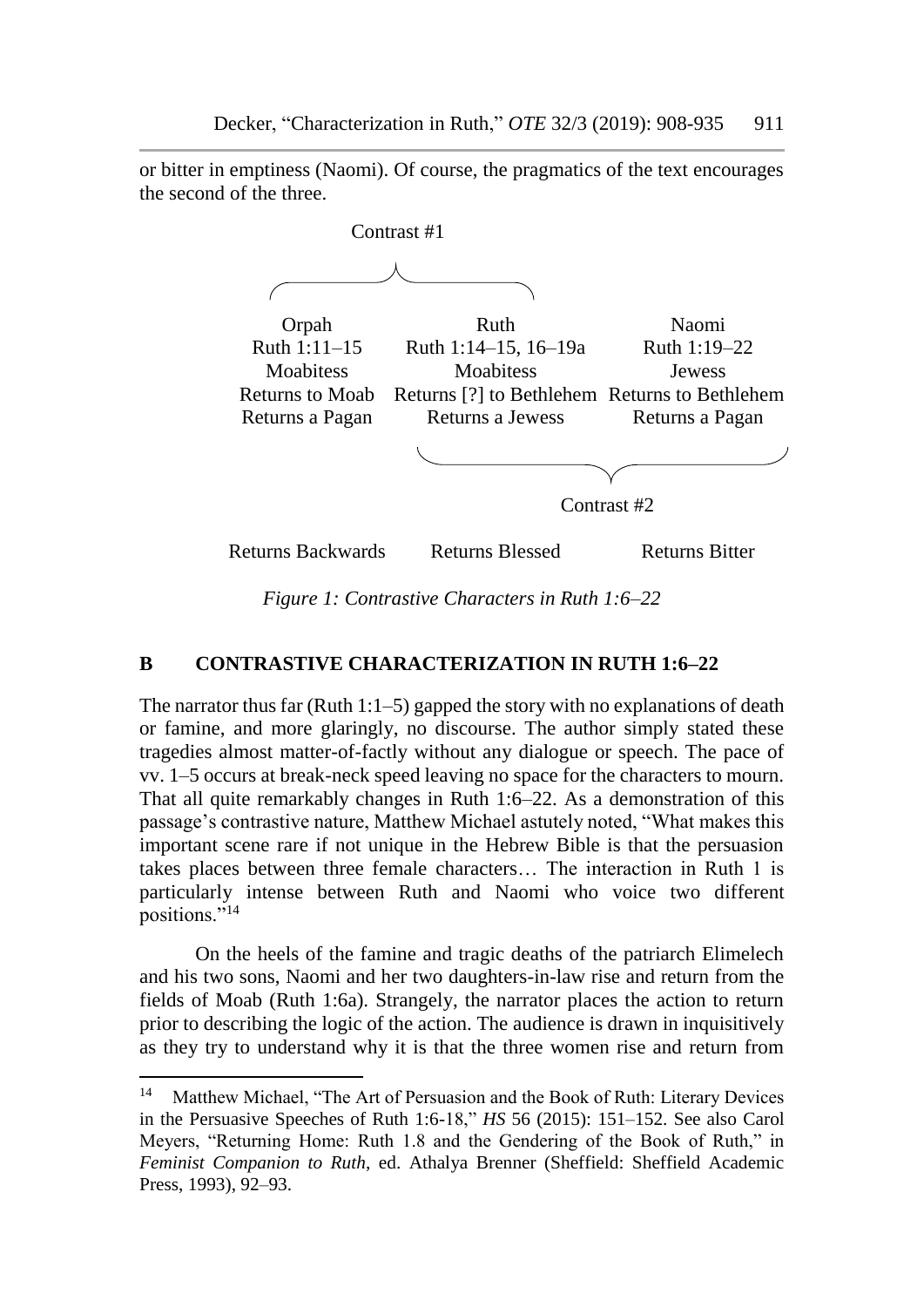or bitter in emptiness (Naomi). Of course, the pragmatics of the text encourages the second of the three.



*Figure 1: Contrastive Characters in Ruth 1:6–22*

#### **B CONTRASTIVE CHARACTERIZATION IN RUTH 1:6–22**

The narrator thus far (Ruth 1:1–5) gapped the story with no explanations of death or famine, and more glaringly, no discourse. The author simply stated these tragedies almost matter-of-factly without any dialogue or speech. The pace of vv. 1–5 occurs at break-neck speed leaving no space for the characters to mourn. That all quite remarkably changes in Ruth 1:6–22. As a demonstration of this passage's contrastive nature, Matthew Michael astutely noted, "What makes this important scene rare if not unique in the Hebrew Bible is that the persuasion takes places between three female characters… The interaction in Ruth 1 is particularly intense between Ruth and Naomi who voice two different positions." $^{14}$ 

On the heels of the famine and tragic deaths of the patriarch Elimelech and his two sons, Naomi and her two daughters-in-law rise and return from the fields of Moab (Ruth 1:6a). Strangely, the narrator places the action to return prior to describing the logic of the action. The audience is drawn in inquisitively as they try to understand why it is that the three women rise and return from

<sup>&</sup>lt;sup>14</sup> Matthew Michael, "The Art of Persuasion and the Book of Ruth: Literary Devices in the Persuasive Speeches of Ruth 1:6-18," *HS* 56 (2015): 151–152. See also Carol Meyers, "Returning Home: Ruth 1.8 and the Gendering of the Book of Ruth," in *Feminist Companion to Ruth*, ed. Athalya Brenner (Sheffield: Sheffield Academic Press, 1993), 92–93.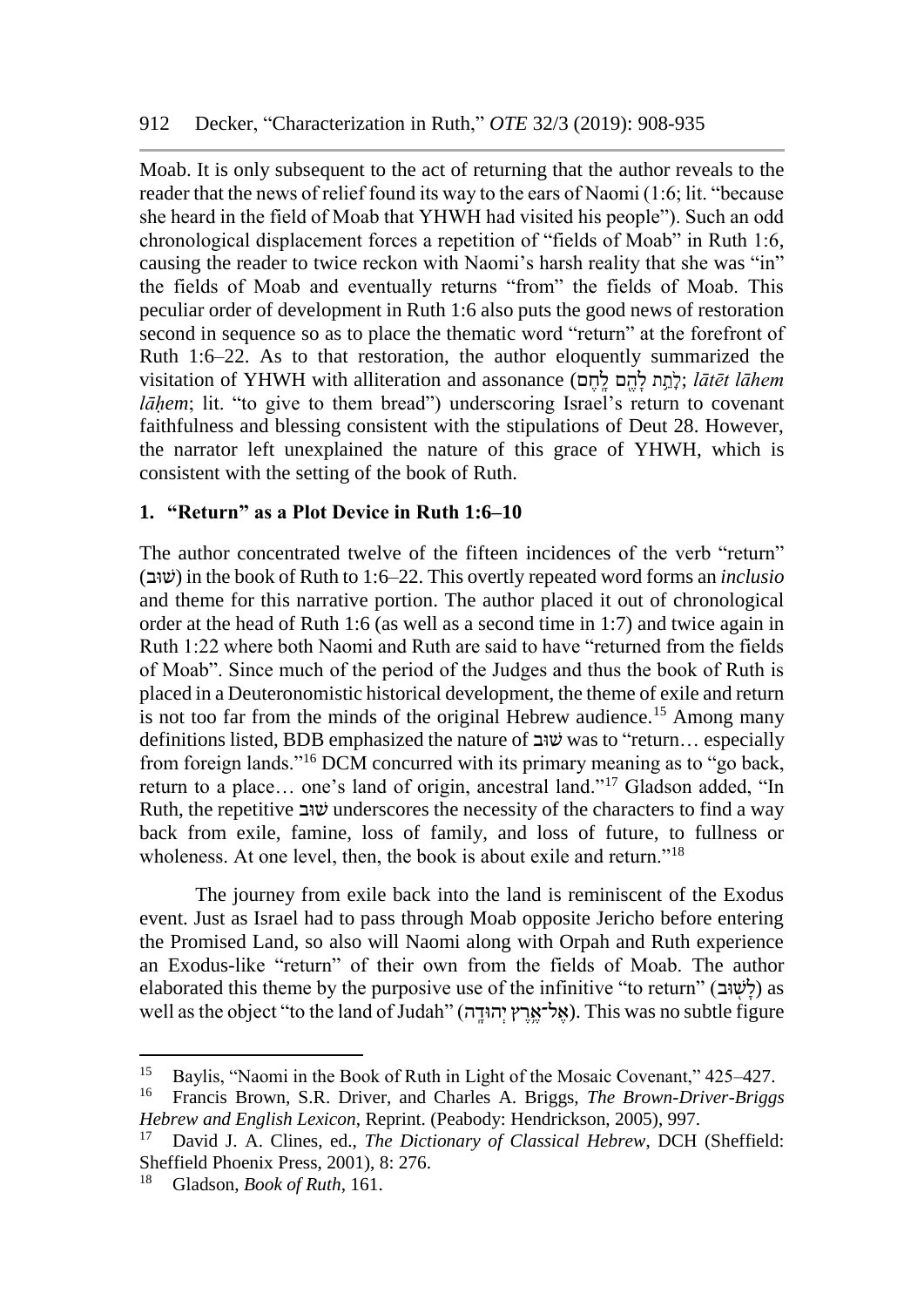Moab. It is only subsequent to the act of returning that the author reveals to the reader that the news of relief found its way to the ears of Naomi (1:6; lit. "because she heard in the field of Moab that YHWH had visited his people"). Such an odd chronological displacement forces a repetition of "fields of Moab" in Ruth 1:6, causing the reader to twice reckon with Naomi's harsh reality that she was "in" the fields of Moab and eventually returns "from" the fields of Moab. This peculiar order of development in Ruth 1:6 also puts the good news of restoration second in sequence so as to place the thematic word "return" at the forefront of Ruth 1:6–22. As to that restoration, the author eloquently summarized the visitation of YHWH with alliteration and assonance (לְתֵח לָהֵם לָחֵם); lātēt lāhem *lāḥem*; lit. "to give to them bread") underscoring Israel's return to covenant faithfulness and blessing consistent with the stipulations of Deut 28. However, the narrator left unexplained the nature of this grace of YHWH, which is consistent with the setting of the book of Ruth.

## **1. "Return" as a Plot Device in Ruth 1:6–10**

The author concentrated twelve of the fifteen incidences of the verb "return" (ובּשׁ (in the book of Ruth to 1:6–22. This overtly repeated word forms an *inclusio* and theme for this narrative portion. The author placed it out of chronological order at the head of Ruth 1:6 (as well as a second time in 1:7) and twice again in Ruth 1:22 where both Naomi and Ruth are said to have "returned from the fields of Moab". Since much of the period of the Judges and thus the book of Ruth is placed in a Deuteronomistic historical development, the theme of exile and return is not too far from the minds of the original Hebrew audience.<sup>15</sup> Among many definitions listed, BDB emphasized the nature of  $\psi$ was to "return... especially from foreign lands."<sup>16</sup> DCM concurred with its primary meaning as to "go back, return to a place… one's land of origin, ancestral land."<sup>17</sup> Gladson added, "In Ruth, the repetitive שוב underscores the necessity of the characters to find a way back from exile, famine, loss of family, and loss of future, to fullness or wholeness. At one level, then, the book is about exile and return."<sup>18</sup>

The journey from exile back into the land is reminiscent of the Exodus event. Just as Israel had to pass through Moab opposite Jericho before entering the Promised Land, so also will Naomi along with Orpah and Ruth experience an Exodus-like "return" of their own from the fields of Moab. The author elaborated this theme by the purposive use of the infinitive "to return" (לָעָוּב) as well as the object "to the land of Judah" (אֱל־אֱרֵץ יְהוּדֵה). This was no subtle figure

<sup>&</sup>lt;sup>15</sup> Baylis, "Naomi in the Book of Ruth in Light of the Mosaic Covenant,"  $425-427$ .<br><sup>16</sup> Erancis Brown, S.B. Driver, and Charles, A. Briggs, *The Brown-Driver-Brigg* 

<sup>16</sup> Francis Brown, S.R. Driver, and Charles A. Briggs, *The Brown-Driver-Briggs Hebrew and English Lexicon*, Reprint. (Peabody: Hendrickson, 2005), 997.

<sup>17</sup> David J. A. Clines, ed., *The Dictionary of Classical Hebrew*, DCH (Sheffield: Sheffield Phoenix Press, 2001), 8: 276.

<sup>18</sup> Gladson, *Book of Ruth*, 161.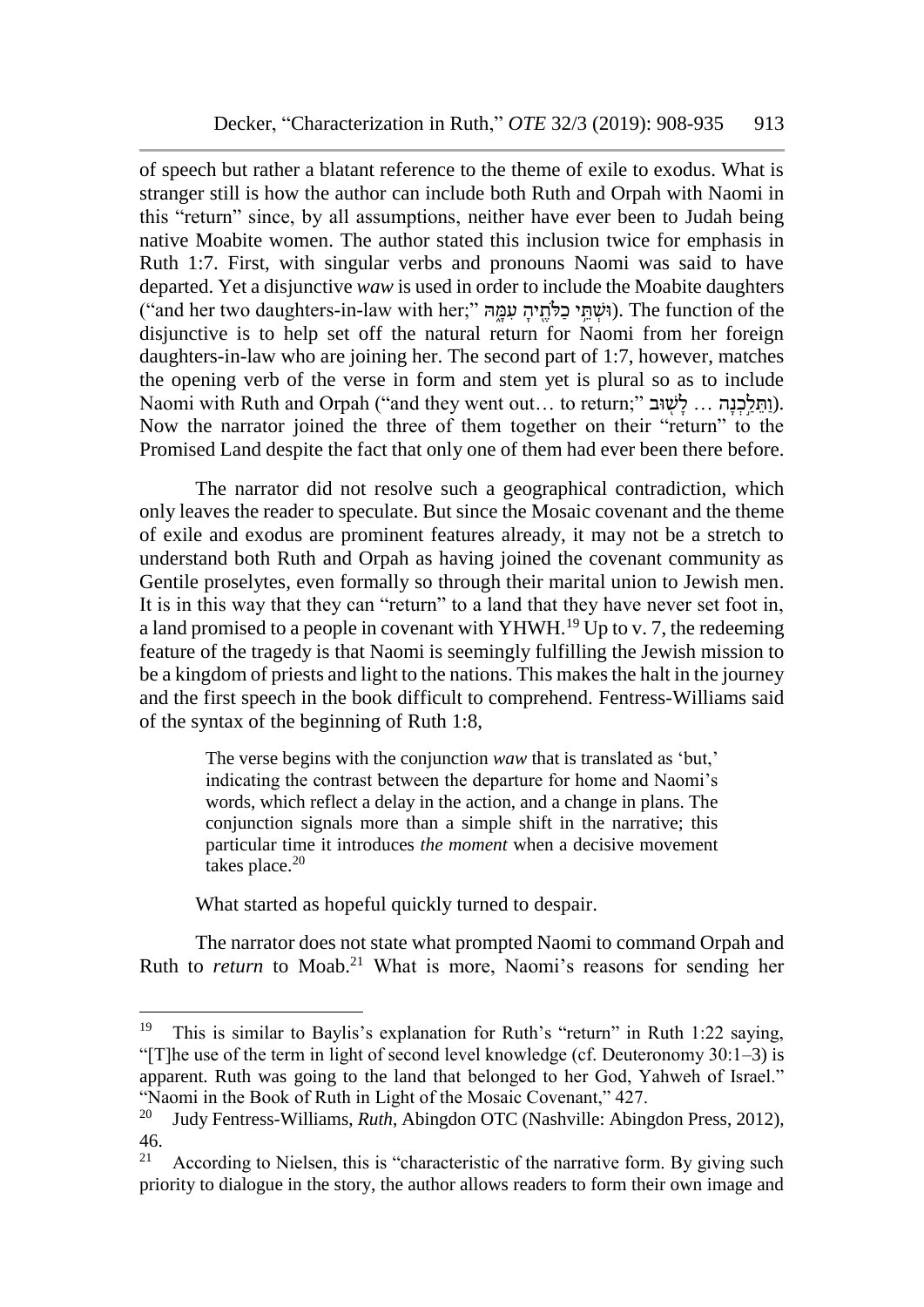of speech but rather a blatant reference to the theme of exile to exodus. What is stranger still is how the author can include both Ruth and Orpah with Naomi in this "return" since, by all assumptions, neither have ever been to Judah being native Moabite women. The author stated this inclusion twice for emphasis in Ruth 1:7. First, with singular verbs and pronouns Naomi was said to have departed. Yet a disjunctive *waw* is used in order to include the Moabite daughters ("and her two daughters-in-law with her;" וּשָׁתִּי כלֹתֵיה עָמַה). The function of the disjunctive is to help set off the natural return for Naomi from her foreign daughters-in-law who are joining her. The second part of 1:7, however, matches the opening verb of the verse in form and stem yet is plural so as to include Naomi with Ruth and Orpah ("and they went out... to return;" ותלכנה... לשוב). Now the narrator joined the three of them together on their "return" to the Promised Land despite the fact that only one of them had ever been there before.

The narrator did not resolve such a geographical contradiction, which only leaves the reader to speculate. But since the Mosaic covenant and the theme of exile and exodus are prominent features already, it may not be a stretch to understand both Ruth and Orpah as having joined the covenant community as Gentile proselytes, even formally so through their marital union to Jewish men. It is in this way that they can "return" to a land that they have never set foot in, a land promised to a people in covenant with YHWH.<sup>19</sup> Up to v. 7, the redeeming feature of the tragedy is that Naomi is seemingly fulfilling the Jewish mission to be a kingdom of priests and light to the nations. This makes the halt in the journey and the first speech in the book difficult to comprehend. Fentress-Williams said of the syntax of the beginning of Ruth 1:8,

> The verse begins with the conjunction *waw* that is translated as 'but,' indicating the contrast between the departure for home and Naomi's words, which reflect a delay in the action, and a change in plans. The conjunction signals more than a simple shift in the narrative; this particular time it introduces *the moment* when a decisive movement takes place.<sup>20</sup>

What started as hopeful quickly turned to despair.

The narrator does not state what prompted Naomi to command Orpah and Ruth to *return* to Moab.<sup>21</sup> What is more, Naomi's reasons for sending her

<sup>19</sup> <sup>19</sup> This is similar to Baylis's explanation for Ruth's "return" in Ruth 1:22 saying, "[T]he use of the term in light of second level knowledge (cf. Deuteronomy 30:1–3) is apparent. Ruth was going to the land that belonged to her God, Yahweh of Israel." "Naomi in the Book of Ruth in Light of the Mosaic Covenant," 427.<br><sup>20</sup> Judy Fentress Williams, *Ruth*, Abingdon OTC (Nashvilla: Abing

<sup>20</sup> Judy Fentress-Williams, *Ruth*, Abingdon OTC (Nashville: Abingdon Press, 2012),  $\frac{46.}{21}$ 

According to Nielsen, this is "characteristic of the narrative form. By giving such priority to dialogue in the story, the author allows readers to form their own image and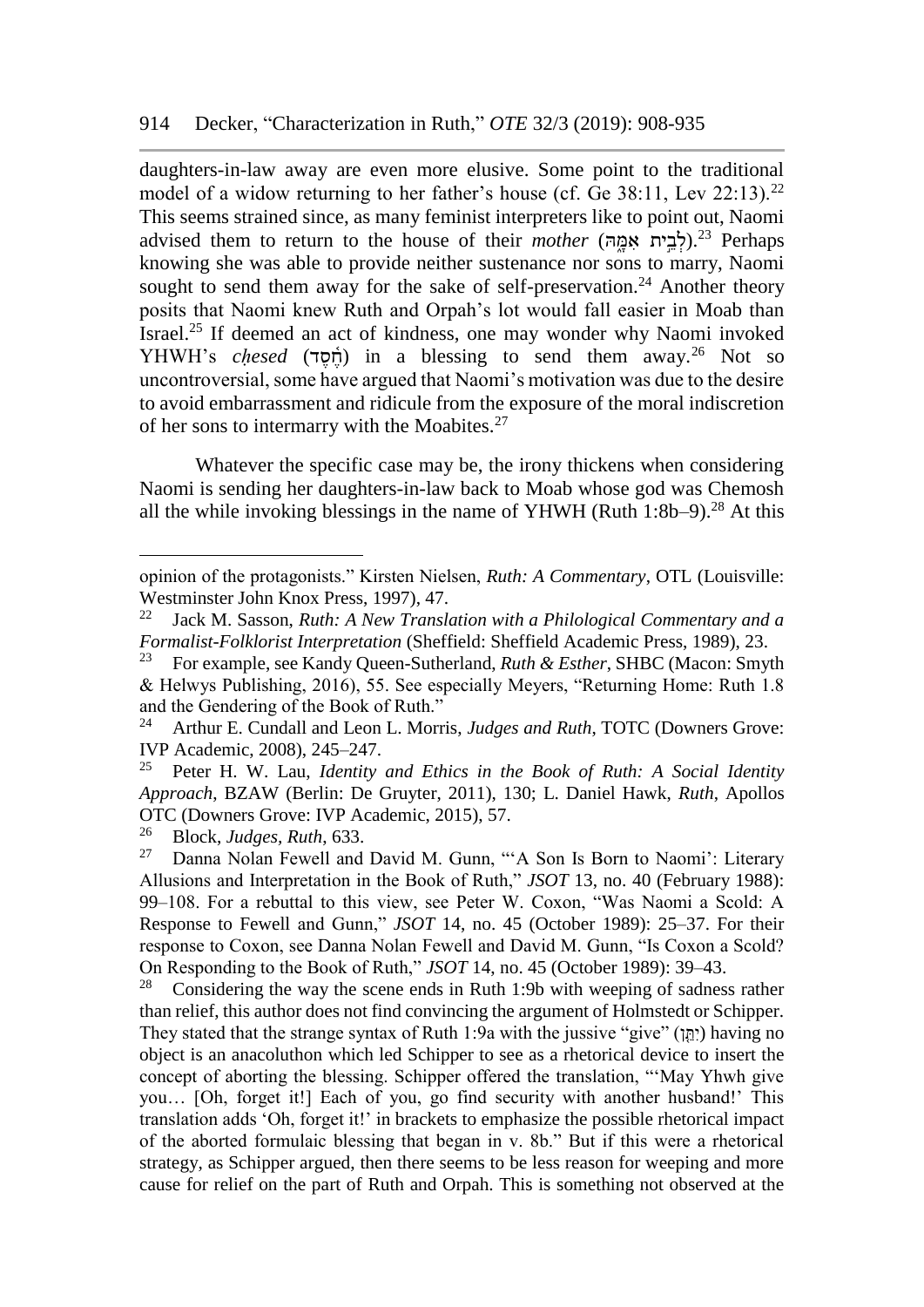daughters-in-law away are even more elusive. Some point to the traditional model of a widow returning to her father's house (cf. Ge 38:11, Lev 22:13).<sup>22</sup> This seems strained since, as many feminist interpreters like to point out, Naomi advised them to return to the house of their *mother* (לבית אמה)<sup>23</sup> Perhaps</sub> knowing she was able to provide neither sustenance nor sons to marry, Naomi sought to send them away for the sake of self-preservation.<sup>24</sup> Another theory posits that Naomi knew Ruth and Orpah's lot would fall easier in Moab than Israel.<sup>25</sup> If deemed an act of kindness, one may wonder why Naomi invoked YHWH's *chesed* (תֹחֶסֶד) in a blessing to send them away.<sup>26</sup> Not so uncontroversial, some have argued that Naomi's motivation was due to the desire to avoid embarrassment and ridicule from the exposure of the moral indiscretion of her sons to intermarry with the Moabites.<sup>27</sup>

Whatever the specific case may be, the irony thickens when considering Naomi is sending her daughters-in-law back to Moab whose god was Chemosh all the while invoking blessings in the name of YHWH (Ruth 1:8b–9).<sup>28</sup> At this

opinion of the protagonists." Kirsten Nielsen, *Ruth: A Commentary*, OTL (Louisville: Westminster John Knox Press, 1997), 47.<br> $^{22}$  Jack M. Sasson, *Ruth: A New Transli* 

Jack M. Sasson, *Ruth: A New Translation with a Philological Commentary and a Formalist-Folklorist Interpretation* (Sheffield: Sheffield Academic Press, 1989), 23.

<sup>23</sup> For example, see Kandy Queen-Sutherland, *Ruth & Esther*, SHBC (Macon: Smyth & Helwys Publishing, 2016), 55. See especially Meyers, "Returning Home: Ruth 1.8 and the Gendering of the Book of Ruth."<br> $^{24}$  Arthur E. Cundall and Leon L. Morr

<sup>24</sup> Arthur E. Cundall and Leon L. Morris, *Judges and Ruth*, TOTC (Downers Grove: IVP Academic, 2008), 245–247.

<sup>25</sup> Peter H. W. Lau, *Identity and Ethics in the Book of Ruth: A Social Identity Approach*, BZAW (Berlin: De Gruyter, 2011), 130; L. Daniel Hawk, *Ruth*, Apollos OTC (Downers Grove: IVP Academic, 2015), 57.

<sup>26</sup> Block, *Judges, Ruth*, 633.

<sup>&</sup>lt;sup>27</sup> Danna Nolan Fewell and David M. Gunn, "A Son Is Born to Naomi': Literary Allusions and Interpretation in the Book of Ruth," *JSOT* 13, no. 40 (February 1988): 99–108. For a rebuttal to this view, see Peter W. Coxon, "Was Naomi a Scold: A Response to Fewell and Gunn," *JSOT* 14, no. 45 (October 1989): 25–37. For their response to Coxon, see Danna Nolan Fewell and David M. Gunn, "Is Coxon a Scold? On Responding to the Book of Ruth," *JSOT* 14, no. 45 (October 1989): 39–43.

<sup>&</sup>lt;sup>28</sup> Considering the way the scene ends in Ruth 1:9b with weeping of sadness rather than relief, this author does not find convincing the argument of Holmstedt or Schipper. They stated that the strange syntax of Ruth 1:9a with the jussive "give" (יְתֵּוֹ) having no object is an anacoluthon which led Schipper to see as a rhetorical device to insert the concept of aborting the blessing. Schipper offered the translation, "'May Yhwh give you… [Oh, forget it!] Each of you, go find security with another husband!' This translation adds 'Oh, forget it!' in brackets to emphasize the possible rhetorical impact of the aborted formulaic blessing that began in v. 8b." But if this were a rhetorical strategy, as Schipper argued, then there seems to be less reason for weeping and more cause for relief on the part of Ruth and Orpah. This is something not observed at the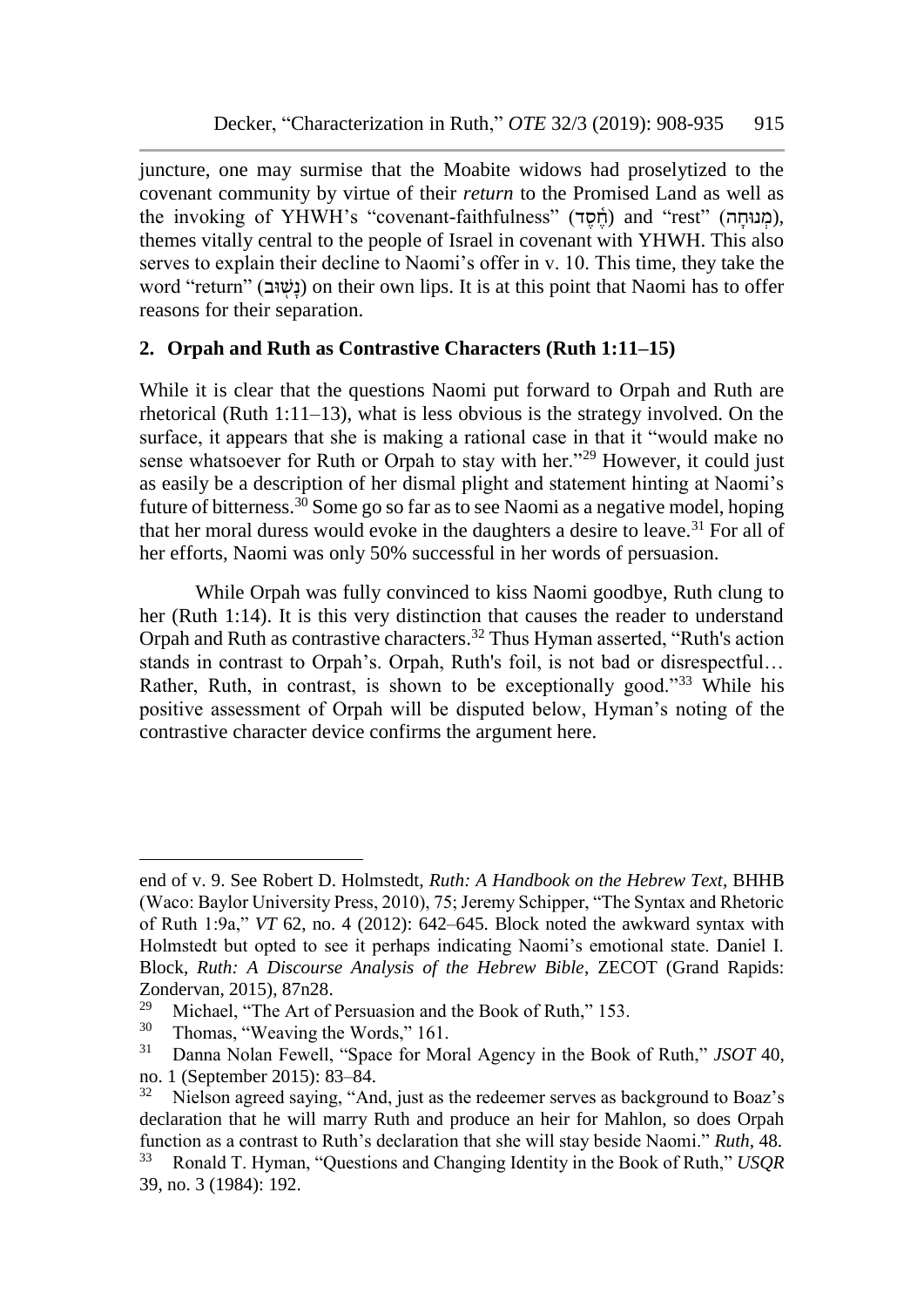juncture, one may surmise that the Moabite widows had proselytized to the covenant community by virtue of their *return* to the Promised Land as well as the invoking of YHWH's "covenant-faithfulness" (חֵנוּחַה) and "rest" (מְנוּחַה), themes vitally central to the people of Israel in covenant with YHWH. This also serves to explain their decline to Naomi's offer in v. 10. This time, they take the word "return" (נשוב) on their own lips. It is at this point that Naomi has to offer reasons for their separation.

## **2. Orpah and Ruth as Contrastive Characters (Ruth 1:11–15)**

While it is clear that the questions Naomi put forward to Orpah and Ruth are rhetorical (Ruth 1:11–13), what is less obvious is the strategy involved. On the surface, it appears that she is making a rational case in that it "would make no sense whatsoever for Ruth or Orpah to stay with her."<sup>29</sup> However, it could just as easily be a description of her dismal plight and statement hinting at Naomi's future of bitterness.<sup>30</sup> Some go so far as to see Naomi as a negative model, hoping that her moral duress would evoke in the daughters a desire to leave.<sup>31</sup> For all of her efforts, Naomi was only 50% successful in her words of persuasion.

While Orpah was fully convinced to kiss Naomi goodbye, Ruth clung to her (Ruth 1:14). It is this very distinction that causes the reader to understand Orpah and Ruth as contrastive characters.<sup>32</sup> Thus Hyman asserted, "Ruth's action stands in contrast to Orpah's. Orpah, Ruth's foil, is not bad or disrespectful… Rather, Ruth, in contrast, is shown to be exceptionally good."<sup>33</sup> While his positive assessment of Orpah will be disputed below, Hyman's noting of the contrastive character device confirms the argument here.

end of v. 9. See Robert D. Holmstedt, *Ruth: A Handbook on the Hebrew Text*, BHHB (Waco: Baylor University Press, 2010), 75; Jeremy Schipper, "The Syntax and Rhetoric of Ruth 1:9a," *VT* 62, no. 4 (2012): 642–645. Block noted the awkward syntax with Holmstedt but opted to see it perhaps indicating Naomi's emotional state. Daniel I. Block, *Ruth: A Discourse Analysis of the Hebrew Bible*, ZECOT (Grand Rapids: Zondervan, 2015), 87n28.

<sup>&</sup>lt;sup>29</sup> Michael, "The Art of Persuasion and the Book of Ruth," 153.<br> $\frac{30}{2}$  Thomas "Worving the Words" 161

 $\frac{30}{11}$  Thomas, "Weaving the Words," 161.

<sup>31</sup> Danna Nolan Fewell, "Space for Moral Agency in the Book of Ruth," *JSOT* 40, no. 1 (September 2015): 83–84.<br> $32$  Nielson agreed saying "An

<sup>32</sup> Nielson agreed saying, "And, just as the redeemer serves as background to Boaz's declaration that he will marry Ruth and produce an heir for Mahlon, so does Orpah function as a contrast to Ruth's declaration that she will stay beside Naomi." *Ruth*, 48.

<sup>33</sup> Ronald T. Hyman, "Questions and Changing Identity in the Book of Ruth," *USQR* 39, no. 3 (1984): 192.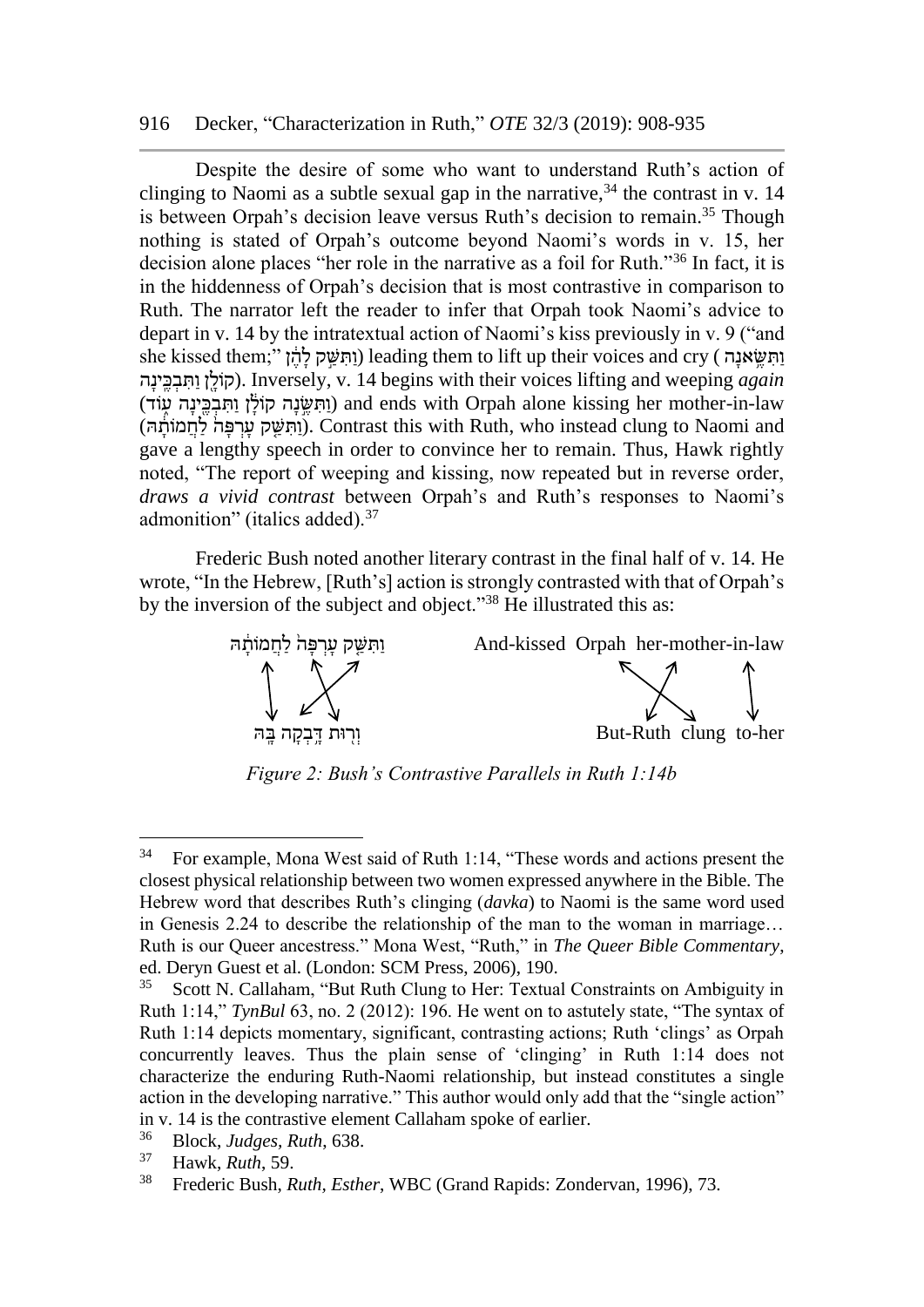#### 916 Decker, "Characterization in Ruth," *OTE* 32/3 (2019): 908-935

Despite the desire of some who want to understand Ruth's action of clinging to Naomi as a subtle sexual gap in the narrative,  $34$  the contrast in v. 14 is between Orpah's decision leave versus Ruth's decision to remain.<sup>35</sup> Though nothing is stated of Orpah's outcome beyond Naomi's words in v. 15, her decision alone places "her role in the narrative as a foil for Ruth."<sup>36</sup> In fact, it is in the hiddenness of Orpah's decision that is most contrastive in comparison to Ruth. The narrator left the reader to infer that Orpah took Naomi's advice to depart in v. 14 by the intratextual action of Naomi's kiss previously in v. 9 ("and she kissed them;" וַחְשֵׁאנָה) leading them to lift up their voices and cry (וַהִשֵּׁאנָה ה ָינָֽ ֶכ ְב ִת ַו ןֶ֖ ָולֹק(. Inversely, v. 14 begins with their voices lifting and weeping *again* וּתְּשׂנָה קוֹלֹן וִתְבִּבִּינָה עֵוֹד) and ends with Orpah alone kissing her mother-in-law (וֹתְשַׁק עִרְפָּה לַחְמוֹתֶה). Contrast this with Ruth, who instead clung to Naomi and gave a lengthy speech in order to convince her to remain. Thus, Hawk rightly noted, "The report of weeping and kissing, now repeated but in reverse order, *draws a vivid contrast* between Orpah's and Ruth's responses to Naomi's admonition" (italics added).<sup>37</sup>

Frederic Bush noted another literary contrast in the final half of v. 14. He wrote, "In the Hebrew, [Ruth's] action is strongly contrasted with that of Orpah's by the inversion of the subject and object."<sup>38</sup> He illustrated this as:



*Figure 2: Bush's Contrastive Parallels in Ruth 1:14b*

 $34$  For example, Mona West said of Ruth 1:14, "These words and actions present the closest physical relationship between two women expressed anywhere in the Bible. The Hebrew word that describes Ruth's clinging (*davka*) to Naomi is the same word used in Genesis 2.24 to describe the relationship of the man to the woman in marriage… Ruth is our Queer ancestress." Mona West, "Ruth," in *The Queer Bible Commentary*, ed. Deryn Guest et al. (London: SCM Press, 2006), 190.

<sup>&</sup>lt;sup>35</sup> Scott N. Callaham, "But Ruth Clung to Her: Textual Constraints on Ambiguity in Ruth 1:14," *TynBul* 63, no. 2 (2012): 196. He went on to astutely state, "The syntax of Ruth 1:14 depicts momentary, significant, contrasting actions; Ruth 'clings' as Orpah concurrently leaves. Thus the plain sense of 'clinging' in Ruth 1:14 does not characterize the enduring Ruth-Naomi relationship, but instead constitutes a single action in the developing narrative." This author would only add that the "single action" in v. 14 is the contrastive element Callaham spoke of earlier.

<sup>36</sup> Block, *Judges, Ruth*, 638.

<sup>37</sup> Hawk, *Ruth*, 59.

<sup>38</sup> Frederic Bush, *Ruth, Esther*, WBC (Grand Rapids: Zondervan, 1996), 73.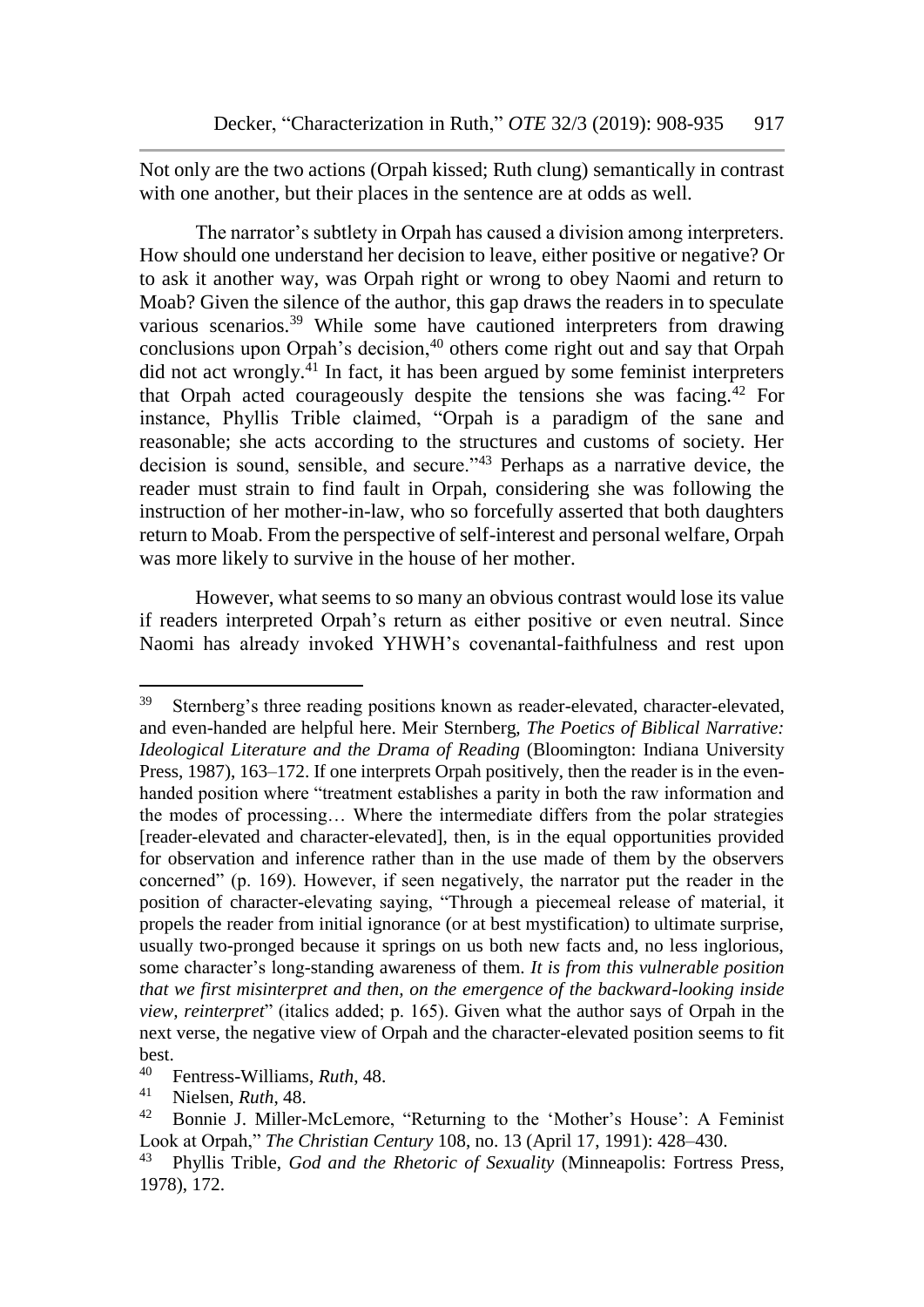Not only are the two actions (Orpah kissed; Ruth clung) semantically in contrast with one another, but their places in the sentence are at odds as well.

The narrator's subtlety in Orpah has caused a division among interpreters. How should one understand her decision to leave, either positive or negative? Or to ask it another way, was Orpah right or wrong to obey Naomi and return to Moab? Given the silence of the author, this gap draws the readers in to speculate various scenarios.<sup>39</sup> While some have cautioned interpreters from drawing conclusions upon Orpah's decision, $40$  others come right out and say that Orpah did not act wrongly. $^{41}$  In fact, it has been argued by some feminist interpreters that Orpah acted courageously despite the tensions she was facing.<sup>42</sup> For instance, Phyllis Trible claimed, "Orpah is a paradigm of the sane and reasonable; she acts according to the structures and customs of society. Her decision is sound, sensible, and secure."<sup>43</sup> Perhaps as a narrative device, the reader must strain to find fault in Orpah, considering she was following the instruction of her mother-in-law, who so forcefully asserted that both daughters return to Moab. From the perspective of self-interest and personal welfare, Orpah was more likely to survive in the house of her mother.

However, what seems to so many an obvious contrast would lose its value if readers interpreted Orpah's return as either positive or even neutral. Since Naomi has already invoked YHWH's covenantal-faithfulness and rest upon

<sup>39</sup> Sternberg's three reading positions known as reader-elevated, character-elevated, and even-handed are helpful here. Meir Sternberg, *The Poetics of Biblical Narrative: Ideological Literature and the Drama of Reading* (Bloomington: Indiana University Press, 1987), 163–172. If one interprets Orpah positively, then the reader is in the evenhanded position where "treatment establishes a parity in both the raw information and the modes of processing… Where the intermediate differs from the polar strategies [reader-elevated and character-elevated], then, is in the equal opportunities provided for observation and inference rather than in the use made of them by the observers concerned" (p. 169). However, if seen negatively, the narrator put the reader in the position of character-elevating saying, "Through a piecemeal release of material, it propels the reader from initial ignorance (or at best mystification) to ultimate surprise, usually two-pronged because it springs on us both new facts and, no less inglorious, some character's long-standing awareness of them. *It is from this vulnerable position that we first misinterpret and then, on the emergence of the backward-looking inside view, reinterpret*" (italics added; p. 165). Given what the author says of Orpah in the next verse, the negative view of Orpah and the character-elevated position seems to fit best.<br> $40 \quad 1$ 

<sup>40</sup> Fentress-Williams, *Ruth*, 48.

<sup>41</sup> Nielsen, *Ruth*, 48.

<sup>42</sup> Bonnie J. Miller-McLemore, "Returning to the 'Mother's House': A Feminist Look at Orpah," *The Christian Century* 108, no. 13 (April 17, 1991): 428–430.

<sup>43</sup> Phyllis Trible, *God and the Rhetoric of Sexuality* (Minneapolis: Fortress Press, 1978), 172.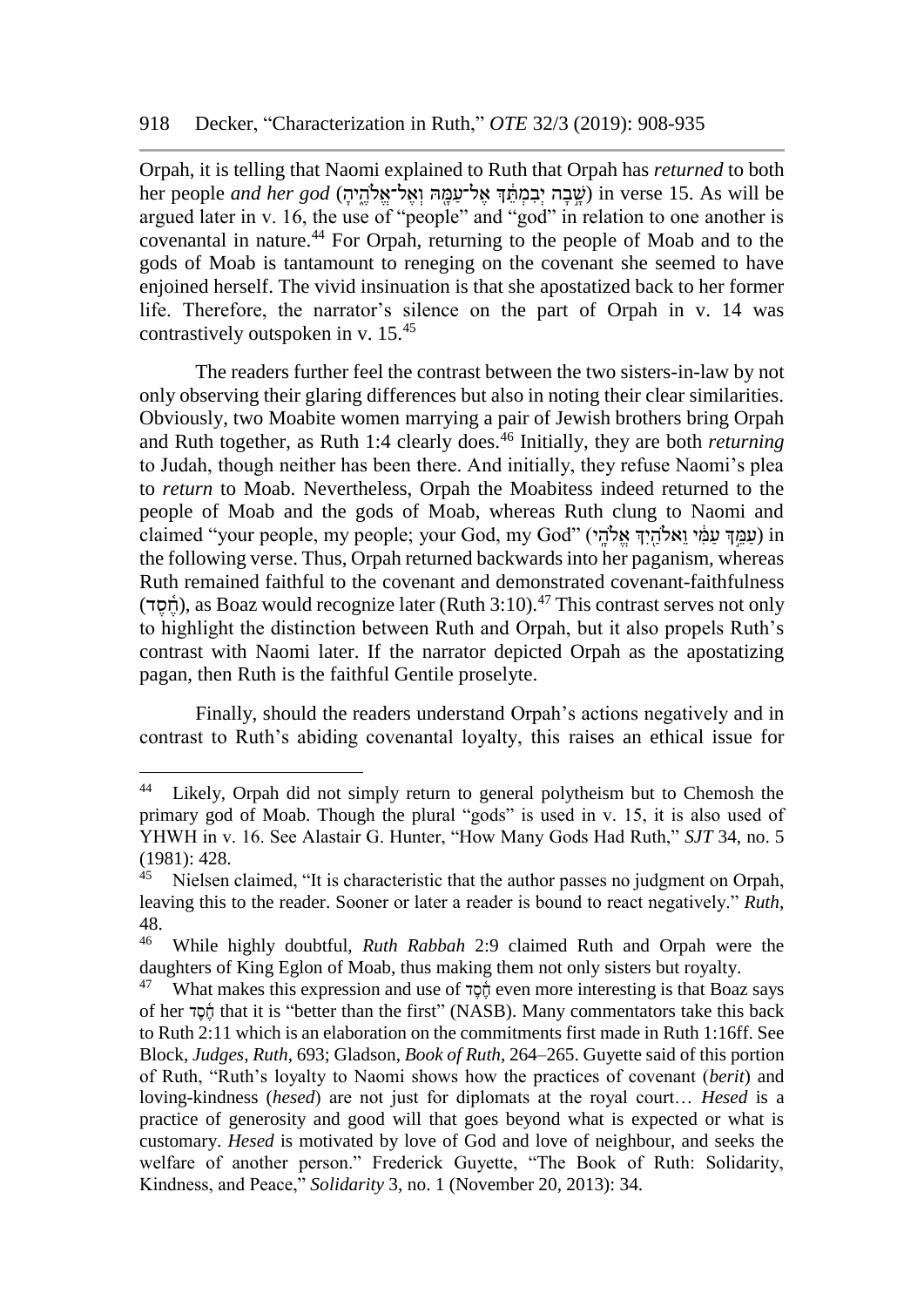Orpah, it is telling that Naomi explained to Ruth that Orpah has *returned* to both her people *and her god* (יְשֶׁבָּה יְבִמְתֵּךְ אֱל־עֲמָה וְאֱל־אֱלֹהֱיֹהָ) *in verse 15. As will be* argued later in v. 16, the use of "people" and "god" in relation to one another is covenantal in nature.<sup>44</sup> For Orpah, returning to the people of Moab and to the gods of Moab is tantamount to reneging on the covenant she seemed to have enjoined herself. The vivid insinuation is that she apostatized back to her former life. Therefore, the narrator's silence on the part of Orpah in v. 14 was contrastively outspoken in v. 15.<sup>45</sup>

The readers further feel the contrast between the two sisters-in-law by not only observing their glaring differences but also in noting their clear similarities. Obviously, two Moabite women marrying a pair of Jewish brothers bring Orpah and Ruth together, as Ruth 1:4 clearly does.<sup>46</sup> Initially, they are both *returning* to Judah, though neither has been there. And initially, they refuse Naomi's plea to *return* to Moab. Nevertheless, Orpah the Moabitess indeed returned to the people of Moab and the gods of Moab, whereas Ruth clung to Naomi and claimed "vour people, my people; vour God, my God" (עַמַּדְּ עַמֵּ֫י ואָלֹהִידְ אָלֹהִי) in the following verse. Thus, Orpah returned backwards into her paganism, whereas Ruth remained faithful to the covenant and demonstrated covenant-faithfulness (תֹּסד), as Boaz would recognize later (Ruth 3:10).<sup>47</sup> This contrast serves not only to highlight the distinction between Ruth and Orpah, but it also propels Ruth's contrast with Naomi later. If the narrator depicted Orpah as the apostatizing pagan, then Ruth is the faithful Gentile proselyte.

Finally, should the readers understand Orpah's actions negatively and in contrast to Ruth's abiding covenantal loyalty, this raises an ethical issue for

<sup>&</sup>lt;sup>44</sup> Likely, Orpah did not simply return to general polytheism but to Chemosh the primary god of Moab. Though the plural "gods" is used in v. 15, it is also used of YHWH in v. 16. See Alastair G. Hunter, "How Many Gods Had Ruth," *SJT* 34, no. 5  $(1981): 428.$ 

Nielsen claimed, "It is characteristic that the author passes no judgment on Orpah, leaving this to the reader. Sooner or later a reader is bound to react negatively." *Ruth*, 48.

<sup>46</sup> While highly doubtful, *Ruth Rabbah* 2:9 claimed Ruth and Orpah were the daughters of King Eglon of Moab, thus making them not only sisters but royalty.

What makes this expression and use of  $\frac{1}{20}$  even more interesting is that Boaz says of her ד ֶס ֶֶ֫ח that it is "better than the first" (NASB). Many commentators take this back to Ruth 2:11 which is an elaboration on the commitments first made in Ruth 1:16ff. See Block, *Judges, Ruth*, 693; Gladson, *Book of Ruth*, 264–265. Guyette said of this portion of Ruth, "Ruth's loyalty to Naomi shows how the practices of covenant (*berit*) and loving-kindness (*hesed*) are not just for diplomats at the royal court… *Hesed* is a practice of generosity and good will that goes beyond what is expected or what is customary. *Hesed* is motivated by love of God and love of neighbour, and seeks the welfare of another person." Frederick Guyette, "The Book of Ruth: Solidarity, Kindness, and Peace," *Solidarity* 3, no. 1 (November 20, 2013): 34.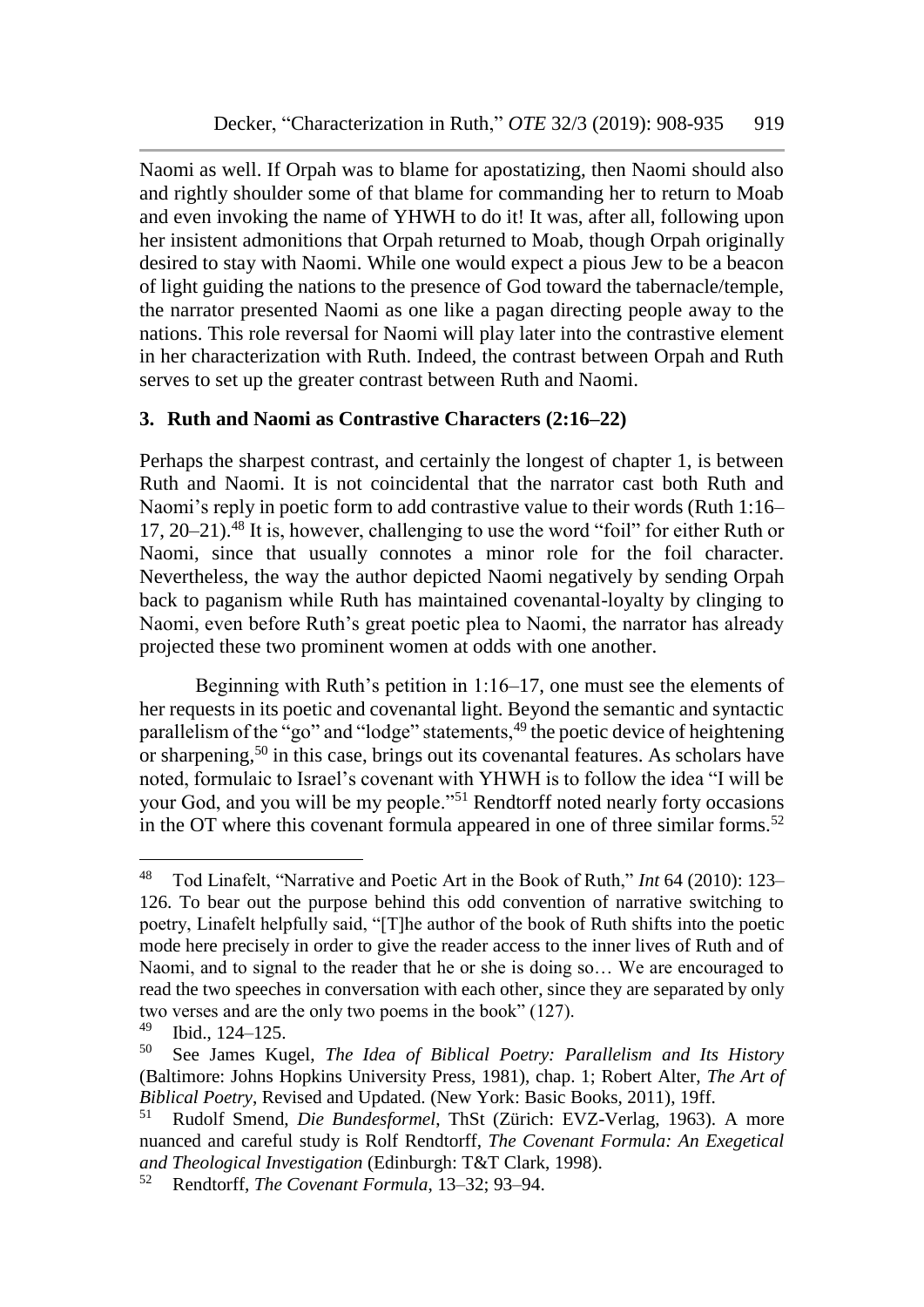Naomi as well. If Orpah was to blame for apostatizing, then Naomi should also and rightly shoulder some of that blame for commanding her to return to Moab and even invoking the name of YHWH to do it! It was, after all, following upon her insistent admonitions that Orpah returned to Moab, though Orpah originally desired to stay with Naomi. While one would expect a pious Jew to be a beacon of light guiding the nations to the presence of God toward the tabernacle/temple, the narrator presented Naomi as one like a pagan directing people away to the nations. This role reversal for Naomi will play later into the contrastive element in her characterization with Ruth. Indeed, the contrast between Orpah and Ruth serves to set up the greater contrast between Ruth and Naomi.

# **3. Ruth and Naomi as Contrastive Characters (2:16–22)**

Perhaps the sharpest contrast, and certainly the longest of chapter 1, is between Ruth and Naomi. It is not coincidental that the narrator cast both Ruth and Naomi's reply in poetic form to add contrastive value to their words (Ruth 1:16– 17, 20–21).<sup>48</sup> It is, however, challenging to use the word "foil" for either Ruth or Naomi, since that usually connotes a minor role for the foil character. Nevertheless, the way the author depicted Naomi negatively by sending Orpah back to paganism while Ruth has maintained covenantal-loyalty by clinging to Naomi, even before Ruth's great poetic plea to Naomi, the narrator has already projected these two prominent women at odds with one another.

Beginning with Ruth's petition in 1:16–17, one must see the elements of her requests in its poetic and covenantal light. Beyond the semantic and syntactic parallelism of the "go" and "lodge" statements,<sup>49</sup> the poetic device of heightening or sharpening,<sup>50</sup> in this case, brings out its covenantal features. As scholars have noted, formulaic to Israel's covenant with YHWH is to follow the idea "I will be your God, and you will be my people."<sup>51</sup> Rendtorff noted nearly forty occasions in the OT where this covenant formula appeared in one of three similar forms.<sup>52</sup>

<sup>48</sup> Tod Linafelt, "Narrative and Poetic Art in the Book of Ruth," *Int* 64 (2010): 123– 126. To bear out the purpose behind this odd convention of narrative switching to poetry, Linafelt helpfully said, "[T]he author of the book of Ruth shifts into the poetic mode here precisely in order to give the reader access to the inner lives of Ruth and of Naomi, and to signal to the reader that he or she is doing so… We are encouraged to read the two speeches in conversation with each other, since they are separated by only two verses and are the only two poems in the book" (127).<br> $^{49}$  Ibid 124, 125

 $^{49}$  Ibid., 124–125.

See James Kugel, *The Idea of Biblical Poetry: Parallelism and Its History* (Baltimore: Johns Hopkins University Press, 1981), chap. 1; Robert Alter, *The Art of Biblical Poetry*, Revised and Updated. (New York: Basic Books, 2011), 19ff.

<sup>51</sup> Rudolf Smend, *Die Bundesformel*, ThSt (Zürich: EVZ-Verlag, 1963). A more nuanced and careful study is Rolf Rendtorff, *The Covenant Formula: An Exegetical and Theological Investigation* (Edinburgh: T&T Clark, 1998).

<sup>52</sup> Rendtorff, *The Covenant Formula*, 13–32; 93–94.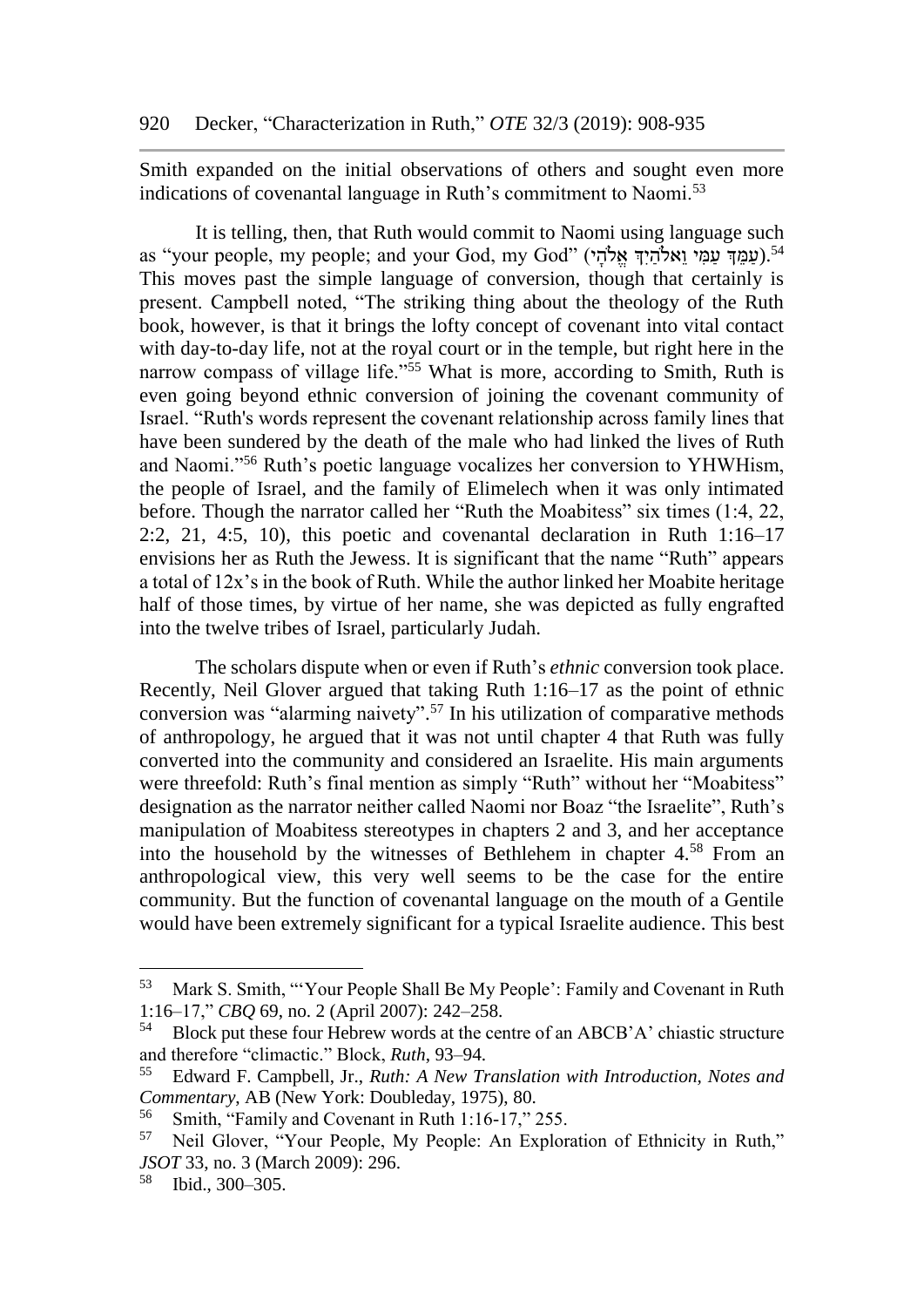Smith expanded on the initial observations of others and sought even more indications of covenantal language in Ruth's commitment to Naomi.<sup>53</sup>

It is telling, then, that Ruth would commit to Naomi using language such as "your people, my people; and your God, my God" (עַמַדְּ עַמַּי וַאֲלֹהִידְ אָלֹהִי).<sup>54</sup> This moves past the simple language of conversion, though that certainly is present. Campbell noted, "The striking thing about the theology of the Ruth book, however, is that it brings the lofty concept of covenant into vital contact with day-to-day life, not at the royal court or in the temple, but right here in the narrow compass of village life."<sup>55</sup> What is more, according to Smith, Ruth is even going beyond ethnic conversion of joining the covenant community of Israel. "Ruth's words represent the covenant relationship across family lines that have been sundered by the death of the male who had linked the lives of Ruth and Naomi."<sup>56</sup> Ruth's poetic language vocalizes her conversion to YHWHism, the people of Israel, and the family of Elimelech when it was only intimated before. Though the narrator called her "Ruth the Moabitess" six times (1:4, 22, 2:2, 21, 4:5, 10), this poetic and covenantal declaration in Ruth  $1:16-17$ envisions her as Ruth the Jewess. It is significant that the name "Ruth" appears a total of 12x's in the book of Ruth. While the author linked her Moabite heritage half of those times, by virtue of her name, she was depicted as fully engrafted into the twelve tribes of Israel, particularly Judah.

The scholars dispute when or even if Ruth's *ethnic* conversion took place. Recently, Neil Glover argued that taking Ruth 1:16–17 as the point of ethnic conversion was "alarming naivety". <sup>57</sup> In his utilization of comparative methods of anthropology, he argued that it was not until chapter 4 that Ruth was fully converted into the community and considered an Israelite. His main arguments were threefold: Ruth's final mention as simply "Ruth" without her "Moabitess" designation as the narrator neither called Naomi nor Boaz "the Israelite", Ruth's manipulation of Moabitess stereotypes in chapters 2 and 3, and her acceptance into the household by the witnesses of Bethlehem in chapter 4.<sup>58</sup> From an anthropological view, this very well seems to be the case for the entire community. But the function of covenantal language on the mouth of a Gentile would have been extremely significant for a typical Israelite audience. This best

<sup>53</sup> Mark S. Smith, "'Your People Shall Be My People': Family and Covenant in Ruth 1:16–17," *CBQ* 69, no. 2 (April 2007): 242–258.

<sup>54</sup> Block put these four Hebrew words at the centre of an ABCB'A' chiastic structure and therefore "climactic." Block, *Ruth*, 93–94.

<sup>55</sup> Edward F. Campbell, Jr., *Ruth: A New Translation with Introduction, Notes and Commentary*, AB (New York: Doubleday, 1975), 80.

<sup>56</sup> Smith, "Family and Covenant in Ruth 1:16-17," 255.

<sup>57</sup> Neil Glover, "Your People, My People: An Exploration of Ethnicity in Ruth," *JSOT* 33, no. 3 (March 2009): 296.

<sup>58</sup> Ibid., 300–305.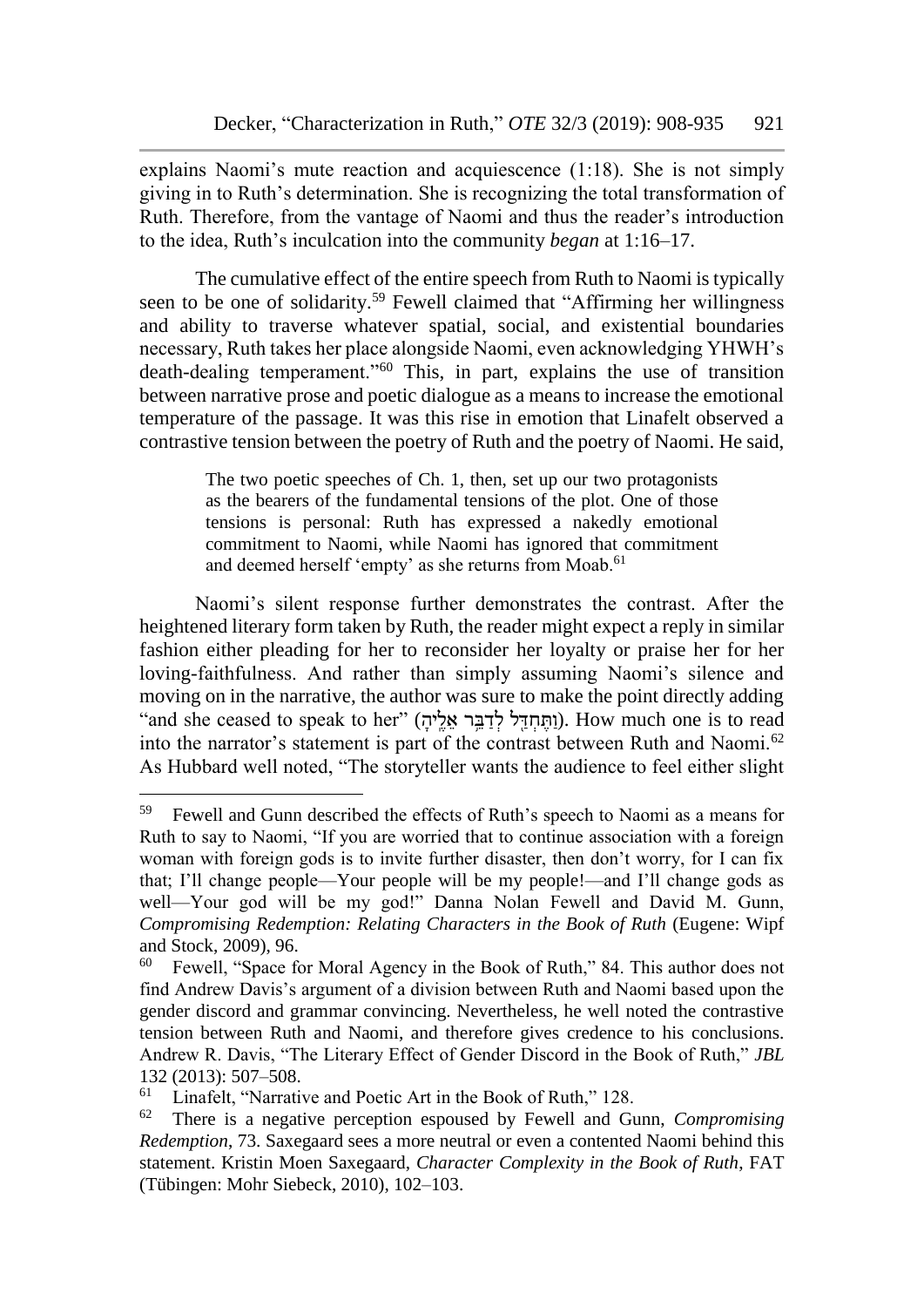explains Naomi's mute reaction and acquiescence (1:18). She is not simply giving in to Ruth's determination. She is recognizing the total transformation of Ruth. Therefore, from the vantage of Naomi and thus the reader's introduction to the idea, Ruth's inculcation into the community *began* at 1:16–17.

The cumulative effect of the entire speech from Ruth to Naomi is typically seen to be one of solidarity.<sup>59</sup> Fewell claimed that "Affirming her willingness" and ability to traverse whatever spatial, social, and existential boundaries necessary, Ruth takes her place alongside Naomi, even acknowledging YHWH's death-dealing temperament."<sup>60</sup> This, in part, explains the use of transition between narrative prose and poetic dialogue as a means to increase the emotional temperature of the passage. It was this rise in emotion that Linafelt observed a contrastive tension between the poetry of Ruth and the poetry of Naomi. He said,

> The two poetic speeches of Ch. 1, then, set up our two protagonists as the bearers of the fundamental tensions of the plot. One of those tensions is personal: Ruth has expressed a nakedly emotional commitment to Naomi, while Naomi has ignored that commitment and deemed herself 'empty' as she returns from Moab.<sup>61</sup>

Naomi's silent response further demonstrates the contrast. After the heightened literary form taken by Ruth, the reader might expect a reply in similar fashion either pleading for her to reconsider her loyalty or praise her for her loving-faithfulness. And rather than simply assuming Naomi's silence and moving on in the narrative, the author was sure to make the point directly adding "and she ceased to speak to her" (וַהֲחְדֵּל לְדַבֵּר אֱלֵיהָ). How much one is to read into the narrator's statement is part of the contrast between Ruth and Naomi.<sup>62</sup> As Hubbard well noted, "The storyteller wants the audience to feel either slight

<sup>59</sup> Fewell and Gunn described the effects of Ruth's speech to Naomi as a means for Ruth to say to Naomi, "If you are worried that to continue association with a foreign woman with foreign gods is to invite further disaster, then don't worry, for I can fix that; I'll change people—Your people will be my people!—and I'll change gods as well—Your god will be my god!" Danna Nolan Fewell and David M. Gunn, *Compromising Redemption: Relating Characters in the Book of Ruth* (Eugene: Wipf and Stock, 2009), 96.<br> $^{60}$  Fewell "Space for

Fewell, "Space for Moral Agency in the Book of Ruth," 84. This author does not find Andrew Davis's argument of a division between Ruth and Naomi based upon the gender discord and grammar convincing. Nevertheless, he well noted the contrastive tension between Ruth and Naomi, and therefore gives credence to his conclusions. Andrew R. Davis, "The Literary Effect of Gender Discord in the Book of Ruth," *JBL* 132 (2013): 507–508.<br><sup>61</sup> Linefalt (November

Linafelt, "Narrative and Poetic Art in the Book of Ruth," 128.

<sup>62</sup> There is a negative perception espoused by Fewell and Gunn, *Compromising Redemption*, 73. Saxegaard sees a more neutral or even a contented Naomi behind this statement. Kristin Moen Saxegaard, *Character Complexity in the Book of Ruth*, FAT (Tübingen: Mohr Siebeck, 2010), 102–103.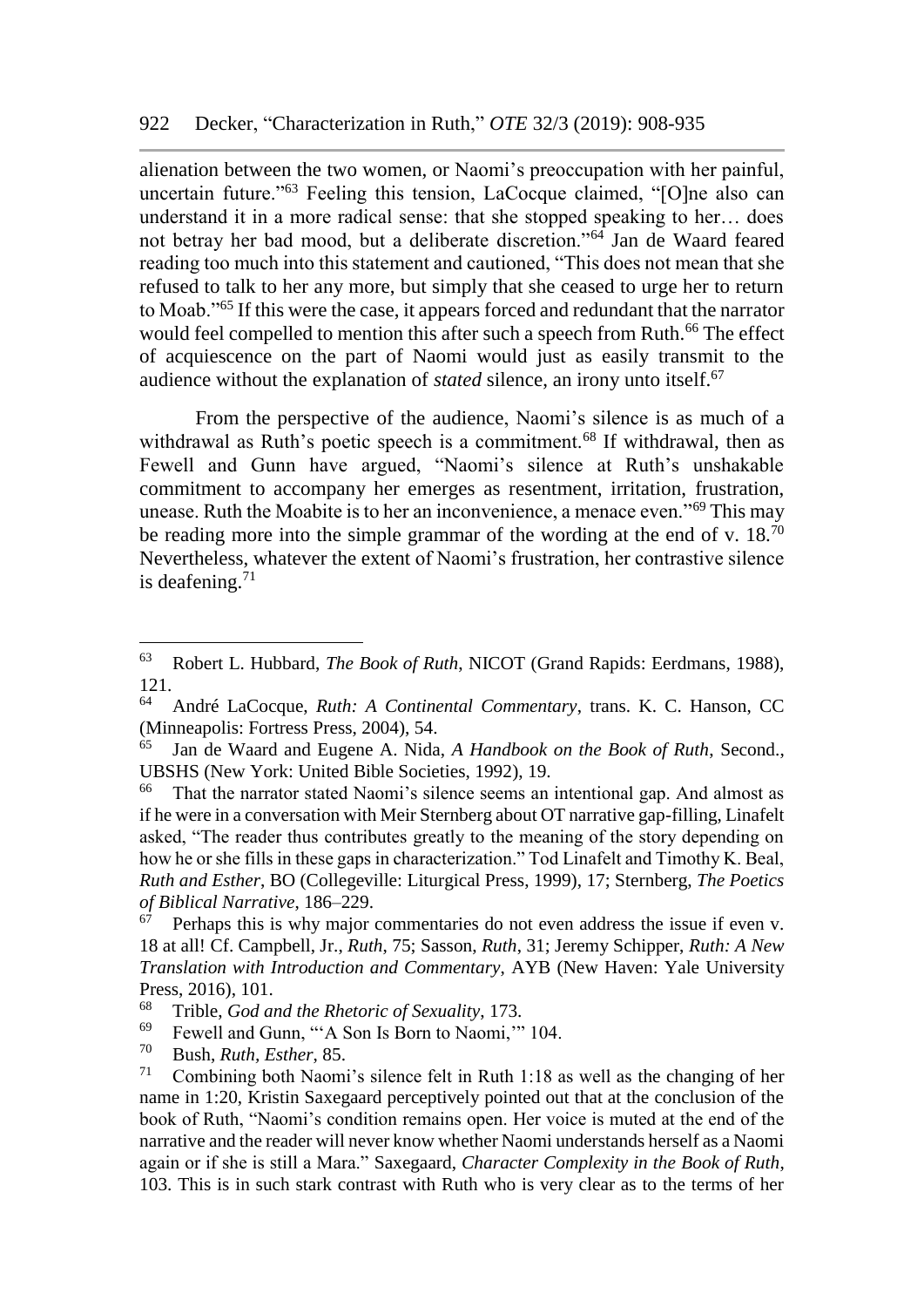alienation between the two women, or Naomi's preoccupation with her painful, uncertain future."<sup>63</sup> Feeling this tension, LaCocque claimed, "[O]ne also can understand it in a more radical sense: that she stopped speaking to her… does not betray her bad mood, but a deliberate discretion."<sup>64</sup> Jan de Waard feared reading too much into this statement and cautioned, "This does not mean that she refused to talk to her any more, but simply that she ceased to urge her to return to Moab."<sup>65</sup> If this were the case, it appears forced and redundant that the narrator would feel compelled to mention this after such a speech from Ruth.<sup>66</sup> The effect of acquiescence on the part of Naomi would just as easily transmit to the audience without the explanation of *stated* silence, an irony unto itself.<sup>67</sup>

From the perspective of the audience, Naomi's silence is as much of a withdrawal as Ruth's poetic speech is a commitment.<sup>68</sup> If withdrawal, then as Fewell and Gunn have argued, "Naomi's silence at Ruth's unshakable commitment to accompany her emerges as resentment, irritation, frustration, unease. Ruth the Moabite is to her an inconvenience, a menace even."<sup>69</sup> This may be reading more into the simple grammar of the wording at the end of v.  $18^{70}$ Nevertheless, whatever the extent of Naomi's frustration, her contrastive silence is deafening. $71$ 

<sup>63</sup> Robert L. Hubbard, *The Book of Ruth*, NICOT (Grand Rapids: Eerdmans, 1988),  $\frac{121}{64}$ 

<sup>64</sup> André LaCocque, *Ruth: A Continental Commentary*, trans. K. C. Hanson, CC (Minneapolis: Fortress Press, 2004), 54.

<sup>65</sup> Jan de Waard and Eugene A. Nida, *A Handbook on the Book of Ruth*, Second., UBSHS (New York: United Bible Societies, 1992), 19.<br><sup>66</sup> That the narrator stated Naomi's silence seems an

That the narrator stated Naomi's silence seems an intentional gap. And almost as if he were in a conversation with Meir Sternberg about OT narrative gap-filling, Linafelt asked, "The reader thus contributes greatly to the meaning of the story depending on how he or she fills in these gaps in characterization." Tod Linafelt and Timothy K. Beal, *Ruth and Esther*, BO (Collegeville: Liturgical Press, 1999), 17; Sternberg, *The Poetics of Biblical Narrative*, 186–229.

Perhaps this is why major commentaries do not even address the issue if even v. 18 at all! Cf. Campbell, Jr., *Ruth*, 75; Sasson, *Ruth*, 31; Jeremy Schipper, *Ruth: A New Translation with Introduction and Commentary*, AYB (New Haven: Yale University Press, 2016), 101.

<sup>68</sup> Trible, *God and the Rhetoric of Sexuality*, 173.

<sup>&</sup>lt;sup>69</sup> Fewell and Gunn, "'A Son Is Born to Naomi," 104.

<sup>70</sup> Bush, *Ruth, Esther*, 85.

<sup>71</sup> Combining both Naomi's silence felt in Ruth 1:18 as well as the changing of her name in 1:20, Kristin Saxegaard perceptively pointed out that at the conclusion of the book of Ruth, "Naomi's condition remains open. Her voice is muted at the end of the narrative and the reader will never know whether Naomi understands herself as a Naomi again or if she is still a Mara." Saxegaard, *Character Complexity in the Book of Ruth*, 103. This is in such stark contrast with Ruth who is very clear as to the terms of her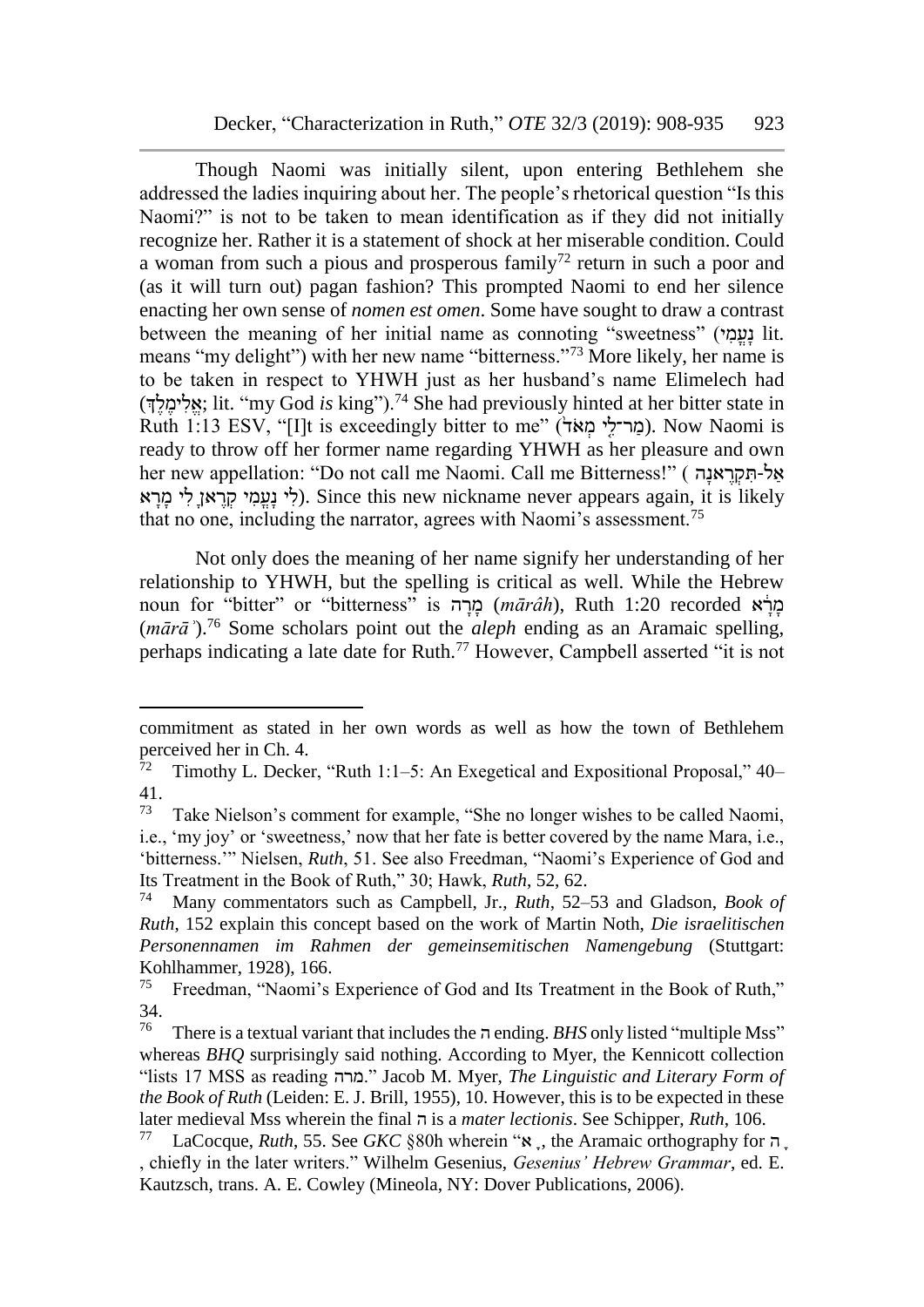Though Naomi was initially silent, upon entering Bethlehem she addressed the ladies inquiring about her. The people's rhetorical question "Is this Naomi?" is not to be taken to mean identification as if they did not initially recognize her. Rather it is a statement of shock at her miserable condition. Could a woman from such a pious and prosperous family<sup>72</sup> return in such a poor and (as it will turn out) pagan fashion? This prompted Naomi to end her silence enacting her own sense of *nomen est omen*. Some have sought to draw a contrast between the meaning of her initial name as connoting "sweetness" (עמי) lit. means "my delight") with her new name "bitterness."<sup>73</sup> More likely, her name is to be taken in respect to YHWH just as her husband's name Elimelech had (הָלִימלִד; lit. "my God *is* king").<sup>74</sup> She had previously hinted at her bitter state in Ruth 1:13 ESV, "[I]t is exceedingly bitter to me" (מר־לי מאד). Now Naomi is ready to throw off her former name regarding YHWH as her pleasure and own her new appellation: "Do not call me Naomi. Call me Bitterness!" ( אל-תּקראנה לי נעמי קראן לי מרא). Since this new nickname never appears again, it is likely that no one, including the narrator, agrees with Naomi's assessment.<sup>75</sup>

Not only does the meaning of her name signify her understanding of her relationship to YHWH, but the spelling is critical as well. While the Hebrew noun for "bitter" or "bitterness" is מהה (mārâh), Ruth 1:20 recorded *גלא* (*mārāʾ*).<sup>76</sup> Some scholars point out the *aleph* ending as an Aramaic spelling, perhaps indicating a late date for Ruth.<sup>77</sup> However, Campbell asserted "it is not

commitment as stated in her own words as well as how the town of Bethlehem perceived her in Ch. 4.<br> $^{72}$  Timothy I. Decket

<sup>72</sup> Timothy L. Decker, "Ruth 1:1–5: An Exegetical and Expositional Proposal," 40–  $\frac{41}{73}$ 

Take Nielson's comment for example, "She no longer wishes to be called Naomi, i.e., 'my joy' or 'sweetness,' now that her fate is better covered by the name Mara, i.e., 'bitterness.'" Nielsen, *Ruth*, 51. See also Freedman, "Naomi's Experience of God and Its Treatment in the Book of Ruth," 30; Hawk, *Ruth*, 52, 62.

<sup>74</sup> Many commentators such as Campbell, Jr., *Ruth*, 52–53 and Gladson, *Book of Ruth*, 152 explain this concept based on the work of Martin Noth, *Die israelitischen Personennamen im Rahmen der gemeinsemitischen Namengebung* (Stuttgart: Kohlhammer, 1928), 166.<br><sup>75</sup> Freedman "Naomi's

Freedman, "Naomi's Experience of God and Its Treatment in the Book of Ruth," 34.<br>76

<sup>76</sup> There is a textual variant that includes the ה ending. *BHS* only listed "multiple Mss" whereas *BHQ* surprisingly said nothing. According to Myer, the Kennicott collection "lists 17 MSS as reading מרה. "Jacob M. Myer, *The Linguistic and Literary Form of the Book of Ruth* (Leiden: E. J. Brill, 1955), 10. However, this is to be expected in these later medieval Mss wherein the final ה is a *mater lectionis*. See Schipper, *Ruth*, 106.

<sup>77</sup> LaCocque, *Ruth*, 55. See *GKC* §80h wherein "א ָ, the Aramaic orthography for ה ָ , chiefly in the later writers." Wilhelm Gesenius, *Gesenius' Hebrew Grammar*, ed. E. Kautzsch, trans. A. E. Cowley (Mineola, NY: Dover Publications, 2006).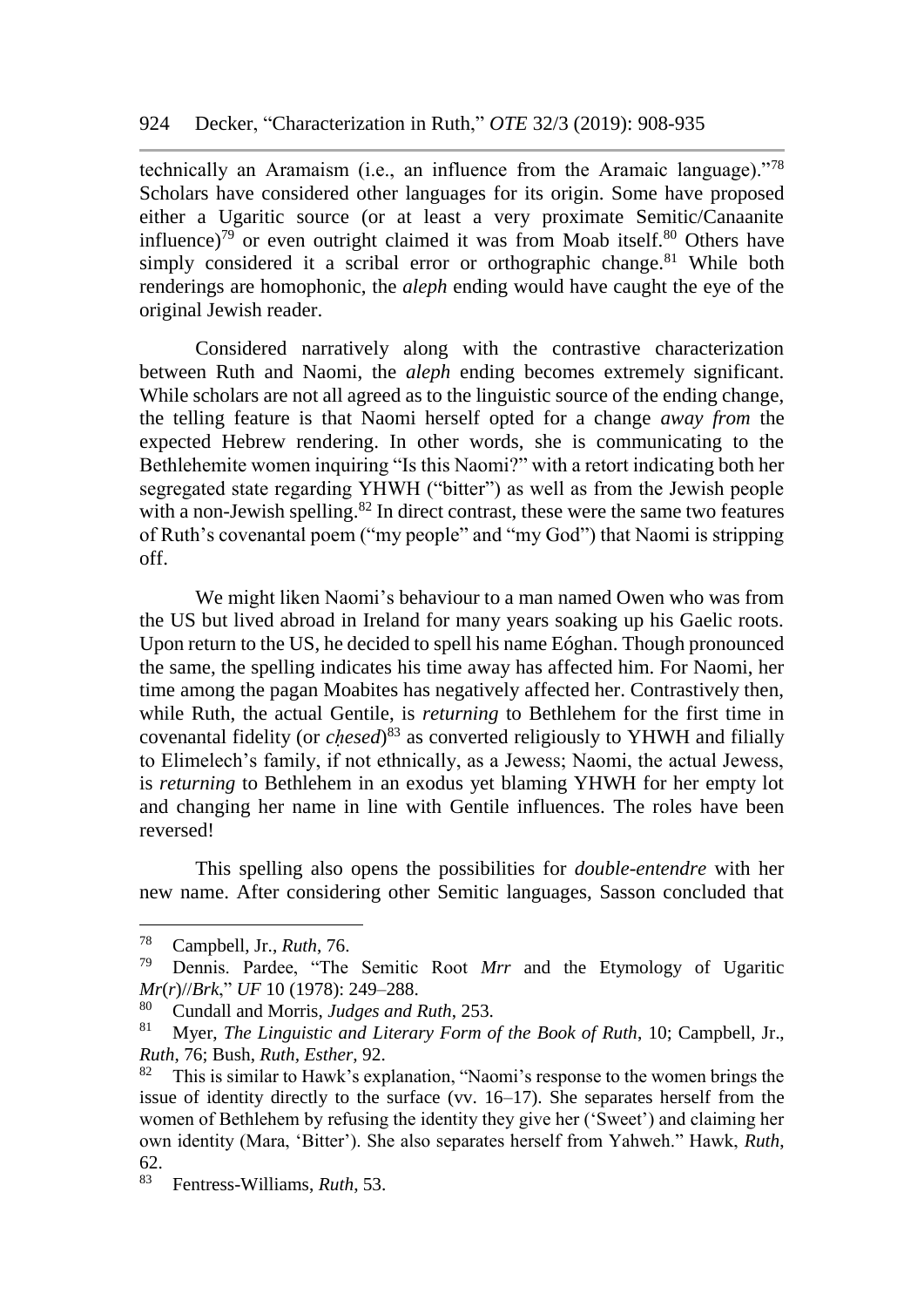technically an Aramaism (i.e., an influence from the Aramaic language)."<sup>78</sup> Scholars have considered other languages for its origin. Some have proposed either a Ugaritic source (or at least a very proximate Semitic/Canaanite influence)<sup>79</sup> or even outright claimed it was from Moab itself. $80$  Others have simply considered it a scribal error or orthographic change.<sup>81</sup> While both renderings are homophonic, the *aleph* ending would have caught the eye of the original Jewish reader.

Considered narratively along with the contrastive characterization between Ruth and Naomi, the *aleph* ending becomes extremely significant. While scholars are not all agreed as to the linguistic source of the ending change, the telling feature is that Naomi herself opted for a change *away from* the expected Hebrew rendering. In other words, she is communicating to the Bethlehemite women inquiring "Is this Naomi?" with a retort indicating both her segregated state regarding YHWH ("bitter") as well as from the Jewish people with a non-Jewish spelling. $82$  In direct contrast, these were the same two features of Ruth's covenantal poem ("my people" and "my God") that Naomi is stripping off.

We might liken Naomi's behaviour to a man named Owen who was from the US but lived abroad in Ireland for many years soaking up his Gaelic roots. Upon return to the US, he decided to spell his name Eóghan. Though pronounced the same, the spelling indicates his time away has affected him. For Naomi, her time among the pagan Moabites has negatively affected her. Contrastively then, while Ruth, the actual Gentile, is *returning* to Bethlehem for the first time in covenantal fidelity (or *cḥesed*) <sup>83</sup> as converted religiously to YHWH and filially to Elimelech's family, if not ethnically, as a Jewess; Naomi, the actual Jewess, is *returning* to Bethlehem in an exodus yet blaming YHWH for her empty lot and changing her name in line with Gentile influences. The roles have been reversed!

This spelling also opens the possibilities for *double-entendre* with her new name. After considering other Semitic languages, Sasson concluded that

<sup>78</sup> Campbell, Jr., *Ruth*, 76.

<sup>79</sup> Dennis. Pardee, "The Semitic Root *Mrr* and the Etymology of Ugaritic *Mr*(*r*)//*Brk*," *UF* 10 (1978): 249–288.

<sup>80</sup> Cundall and Morris, *Judges and Ruth*, 253.

<sup>81</sup> Myer, *The Linguistic and Literary Form of the Book of Ruth*, 10; Campbell, Jr., *Ruth*, 76; Bush, *Ruth, Esther*, 92.

 $82$  This is similar to Hawk's explanation, "Naomi's response to the women brings the issue of identity directly to the surface (vv. 16–17). She separates herself from the women of Bethlehem by refusing the identity they give her ('Sweet') and claiming her own identity (Mara, 'Bitter'). She also separates herself from Yahweh." Hawk, *Ruth*,  $62.83$ 

<sup>83</sup> Fentress-Williams, *Ruth*, 53.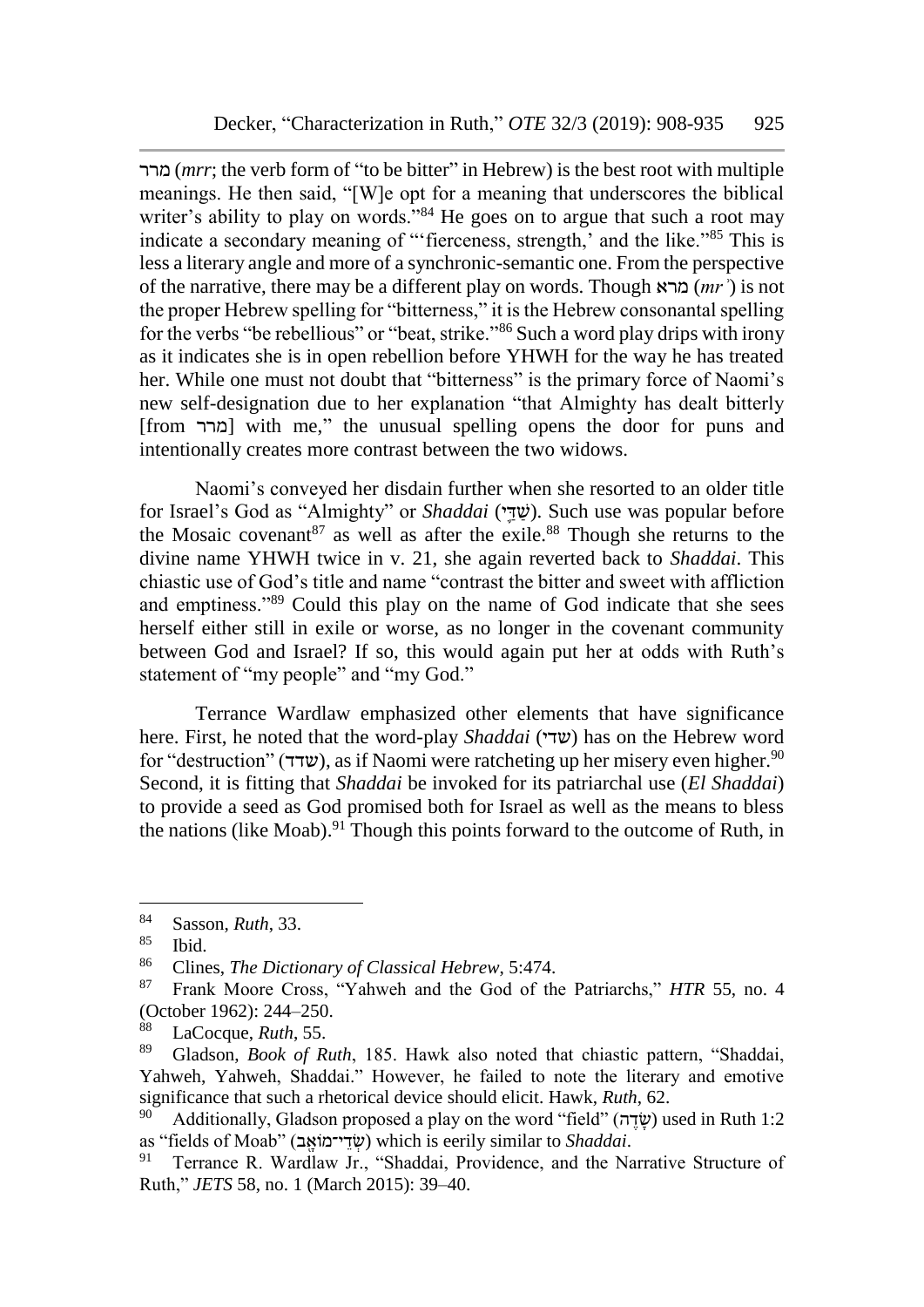מרר) *mrr*; the verb form of "to be bitter" in Hebrew) is the best root with multiple meanings. He then said, "[W]e opt for a meaning that underscores the biblical writer's ability to play on words."<sup>84</sup> He goes on to argue that such a root may indicate a secondary meaning of "'fierceness, strength,' and the like."<sup>85</sup> This is less a literary angle and more of a synchronic-semantic one. From the perspective of the narrative, there may be a different play on words. Though מרא) *mrʾ*) is not the proper Hebrew spelling for "bitterness," it is the Hebrew consonantal spelling for the verbs "be rebellious" or "beat, strike."<sup>86</sup> Such a word play drips with irony as it indicates she is in open rebellion before YHWH for the way he has treated her. While one must not doubt that "bitterness" is the primary force of Naomi's new self-designation due to her explanation "that Almighty has dealt bitterly [from מרר [with me," the unusual spelling opens the door for puns and intentionally creates more contrast between the two widows.

Naomi's conveyed her disdain further when she resorted to an older title for Israel's God as "Almighty" or *Shaddai* (ש
<sub>ו</sub>ֹשׁד). Such use was popular before the Mosaic covenant  $87$  as well as after the exile.<sup>88</sup> Though she returns to the divine name YHWH twice in v. 21, she again reverted back to *Shaddai*. This chiastic use of God's title and name "contrast the bitter and sweet with affliction and emptiness."<sup>89</sup> Could this play on the name of God indicate that she sees herself either still in exile or worse, as no longer in the covenant community between God and Israel? If so, this would again put her at odds with Ruth's statement of "my people" and "my God."

Terrance Wardlaw emphasized other elements that have significance here. First, he noted that the word-play *Shaddai* (שדי) has on the Hebrew word for "destruction" (שדד), as if Naomi were ratcheting up her misery even higher.<sup>90</sup> Second, it is fitting that *Shaddai* be invoked for its patriarchal use (*El Shaddai*) to provide a seed as God promised both for Israel as well as the means to bless the nations (like Moab).<sup>91</sup> Though this points forward to the outcome of Ruth, in

<sup>84</sup> Sasson, *Ruth*, 33.

 $\frac{85}{86}$  Ibid.

<sup>&</sup>lt;sup>86</sup> Clines, *The Dictionary of Classical Hebrew*, 5:474.<br><sup>87</sup> Erank Moore Cross "Vahweb and the God of the

<sup>87</sup> Frank Moore Cross, "Yahweh and the God of the Patriarchs," *HTR* 55, no. 4 (October 1962): 244–250.

LaCocque, *Ruth*, 55.

<sup>89</sup> Gladson, *Book of Ruth*, 185. Hawk also noted that chiastic pattern, "Shaddai, Yahweh, Yahweh, Shaddai." However, he failed to note the literary and emotive significance that such a rhetorical device should elicit. Hawk, *Ruth*, 62.

Additionally, Gladson proposed a play on the word "field" (שׂדֶה) used in Ruth 1:2 as "fields of Moab" (שְׂדֵי־מוֹאֶב) which is eerily similar to *Shaddai*.<br><sup>91</sup> Terrance R. Wardlaw Ir. "Shaddai Providence, and the Na

Terrance R. Wardlaw Jr., "Shaddai, Providence, and the Narrative Structure of Ruth," *JETS* 58, no. 1 (March 2015): 39–40.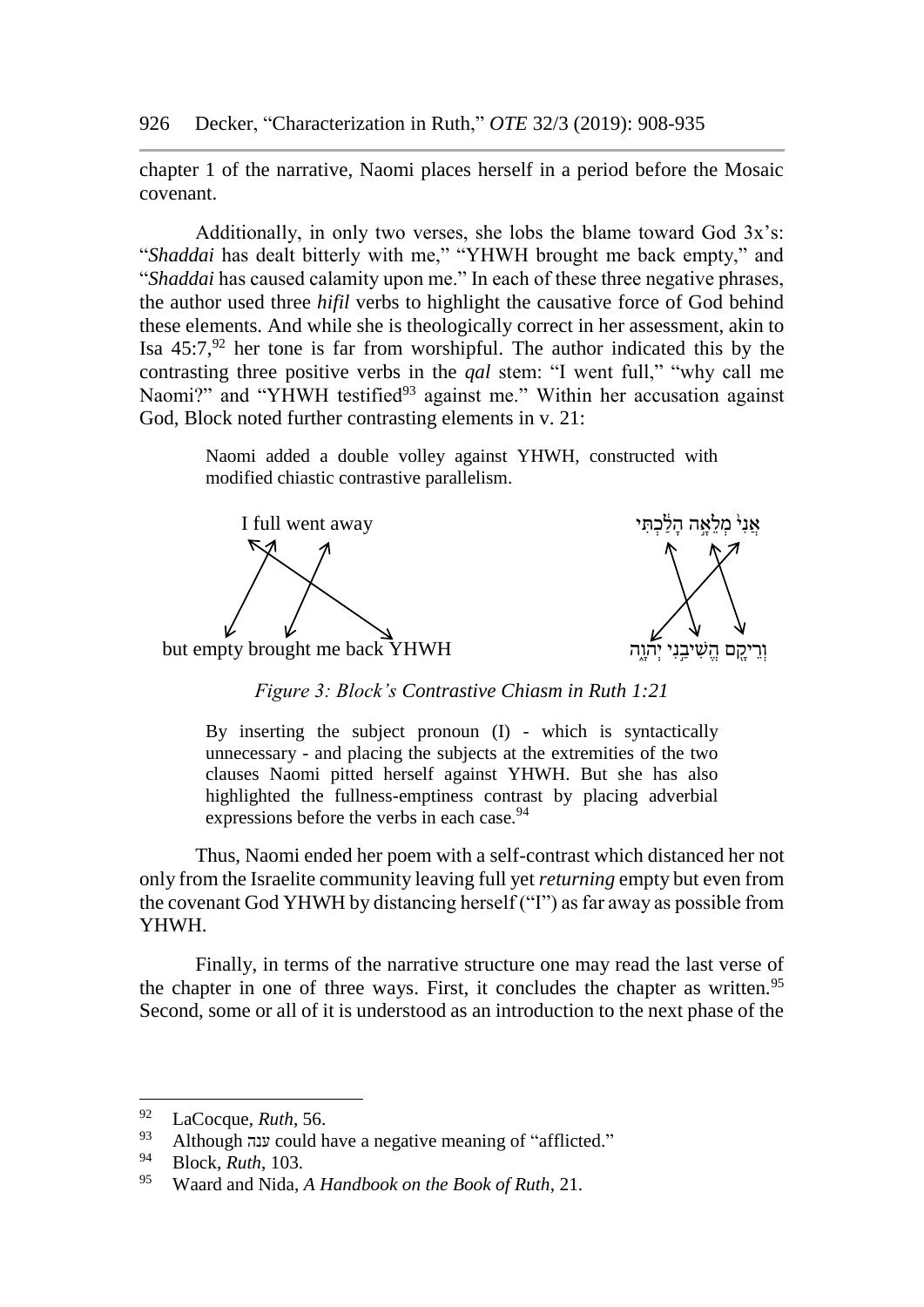chapter 1 of the narrative, Naomi places herself in a period before the Mosaic covenant.

Additionally, in only two verses, she lobs the blame toward God 3x's: "*Shaddai* has dealt bitterly with me," "YHWH brought me back empty," and "*Shaddai* has caused calamity upon me." In each of these three negative phrases, the author used three *hifil* verbs to highlight the causative force of God behind these elements. And while she is theologically correct in her assessment, akin to Isa  $45:7$ ,  $92$  her tone is far from worshipful. The author indicated this by the contrasting three positive verbs in the *qal* stem: "I went full," "why call me Naomi?" and "YHWH testified<sup>93</sup> against me." Within her accusation against God, Block noted further contrasting elements in v. 21:

> Naomi added a double volley against YHWH, constructed with modified chiastic contrastive parallelism.

 $\bf I$  full went away אַ נִיֹ מַלֹאָה הלֹכִתּי



*Figure 3: Block's Contrastive Chiasm in Ruth 1:21*

By inserting the subject pronoun (I) - which is syntactically unnecessary - and placing the subjects at the extremities of the two clauses Naomi pitted herself against YHWH. But she has also highlighted the fullness-emptiness contrast by placing adverbial expressions before the verbs in each case.<sup>94</sup>

Thus, Naomi ended her poem with a self-contrast which distanced her not only from the Israelite community leaving full yet *returning* empty but even from the covenant God YHWH by distancing herself ("I") as far away as possible from YHWH.

Finally, in terms of the narrative structure one may read the last verse of the chapter in one of three ways. First, it concludes the chapter as written.<sup>95</sup> Second, some or all of it is understood as an introduction to the next phase of the

<sup>&</sup>lt;sup>92</sup> LaCocque, *Ruth*, 56.

<sup>93</sup> Although ענה could have a negative meaning of "afflicted."<br>Plock *Buth*  $103$ 

<sup>&</sup>lt;sup>94</sup> Block, *Ruth*, 103.

<sup>95</sup> Waard and Nida, *A Handbook on the Book of Ruth*, 21.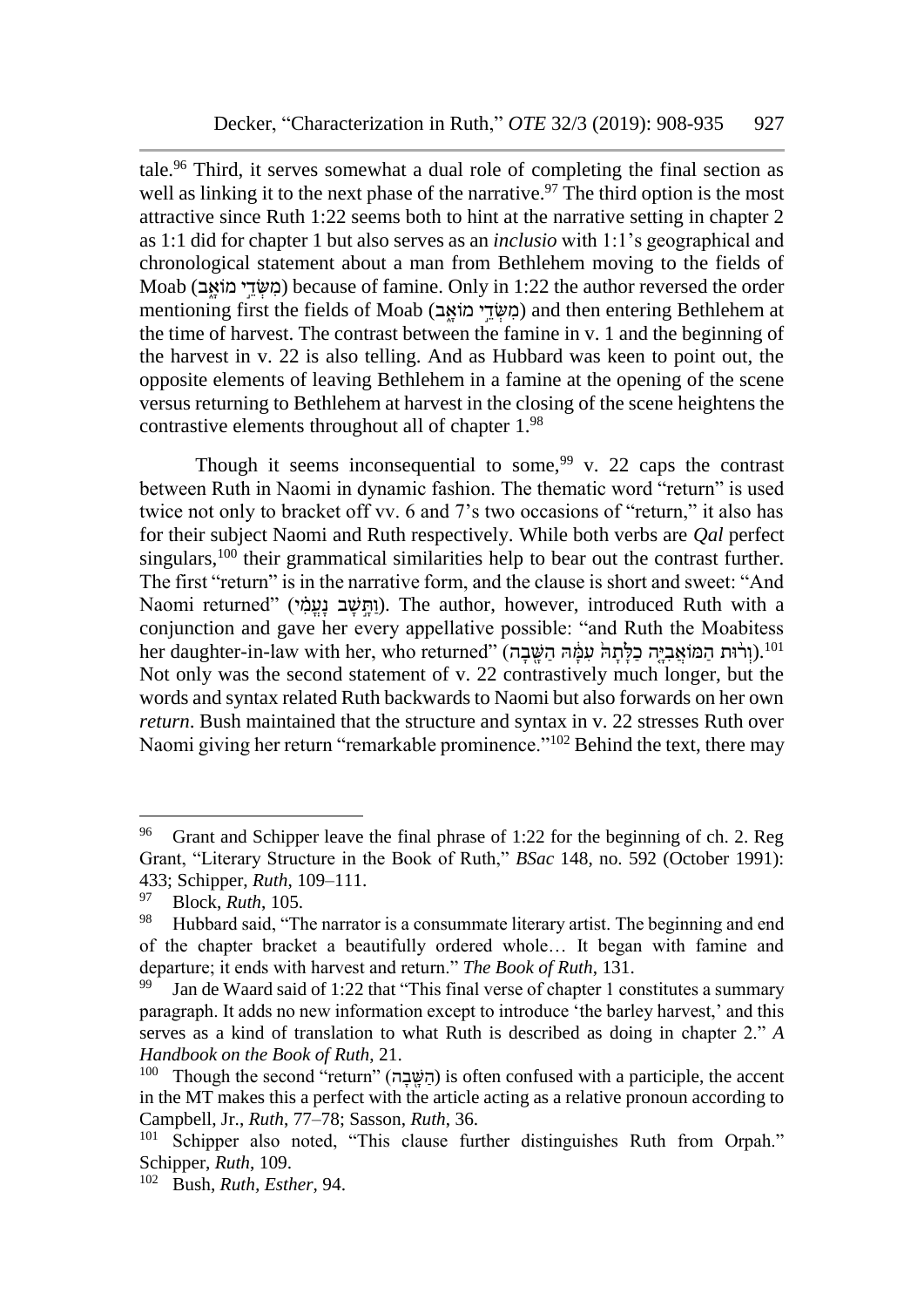tale.<sup>96</sup> Third, it serves somewhat a dual role of completing the final section as well as linking it to the next phase of the narrative.<sup>97</sup> The third option is the most attractive since Ruth 1:22 seems both to hint at the narrative setting in chapter 2 as 1:1 did for chapter 1 but also serves as an *inclusio* with 1:1's geographical and chronological statement about a man from Bethlehem moving to the fields of Moab (ב $\omega$ די מוֹאב) because of famine. Only in 1:22 the author reversed the order mentioning first the fields of Moab (בְּשְׂדֵי מוֹאֵב) and then entering Bethlehem at the time of harvest. The contrast between the famine in v. 1 and the beginning of the harvest in v. 22 is also telling. And as Hubbard was keen to point out, the opposite elements of leaving Bethlehem in a famine at the opening of the scene versus returning to Bethlehem at harvest in the closing of the scene heightens the contrastive elements throughout all of chapter 1.<sup>98</sup>

Though it seems inconsequential to some,  $99$  v. 22 caps the contrast between Ruth in Naomi in dynamic fashion. The thematic word "return" is used twice not only to bracket off vv. 6 and 7's two occasions of "return," it also has for their subject Naomi and Ruth respectively. While both verbs are *Qal* perfect singulars,<sup>100</sup> their grammatical similarities help to bear out the contrast further. The first "return" is in the narrative form, and the clause is short and sweet: "And Naomi returned" (ותּשׁב נעמֹי). The author, however, introduced Ruth with a conjunction and gave her every appellative possible: "and Ruth the Moabitess her daughter-in-law with her, who returned" (וְרֹוּת הַמּוֹאֲבִיֵּה כַלַּתָהּ עָמֶּׁהּ הַשֵּׁבָה).<sup>101</sup> Not only was the second statement of v. 22 contrastively much longer, but the words and syntax related Ruth backwards to Naomi but also forwards on her own *return*. Bush maintained that the structure and syntax in v. 22 stresses Ruth over Naomi giving her return "remarkable prominence."<sup>102</sup> Behind the text, there may

<sup>96</sup> Grant and Schipper leave the final phrase of 1:22 for the beginning of ch. 2. Reg Grant, "Literary Structure in the Book of Ruth," *BSac* 148, no. 592 (October 1991): 433; Schipper, *Ruth*, 109–111.

<sup>&</sup>lt;sup>97</sup> Block, *Ruth*, 105.

Hubbard said, "The narrator is a consummate literary artist. The beginning and end of the chapter bracket a beautifully ordered whole… It began with famine and departure; it ends with harvest and return." *The Book of Ruth*, 131.

Jan de Waard said of 1:22 that "This final verse of chapter 1 constitutes a summary paragraph. It adds no new information except to introduce 'the barley harvest,' and this serves as a kind of translation to what Ruth is described as doing in chapter 2." *A Handbook on the Book of Ruth*, 21.

 $100$  Though the second "return" (הַשֵּׁבָה) is often confused with a participle, the accent in the MT makes this a perfect with the article acting as a relative pronoun according to Campbell, Jr., *Ruth*, 77–78; Sasson, *Ruth*, 36.

<sup>&</sup>lt;sup>101</sup> Schipper also noted, "This clause further distinguishes Ruth from Orpah." Schipper, *Ruth*, 109.

<sup>102</sup> Bush, *Ruth, Esther*, 94.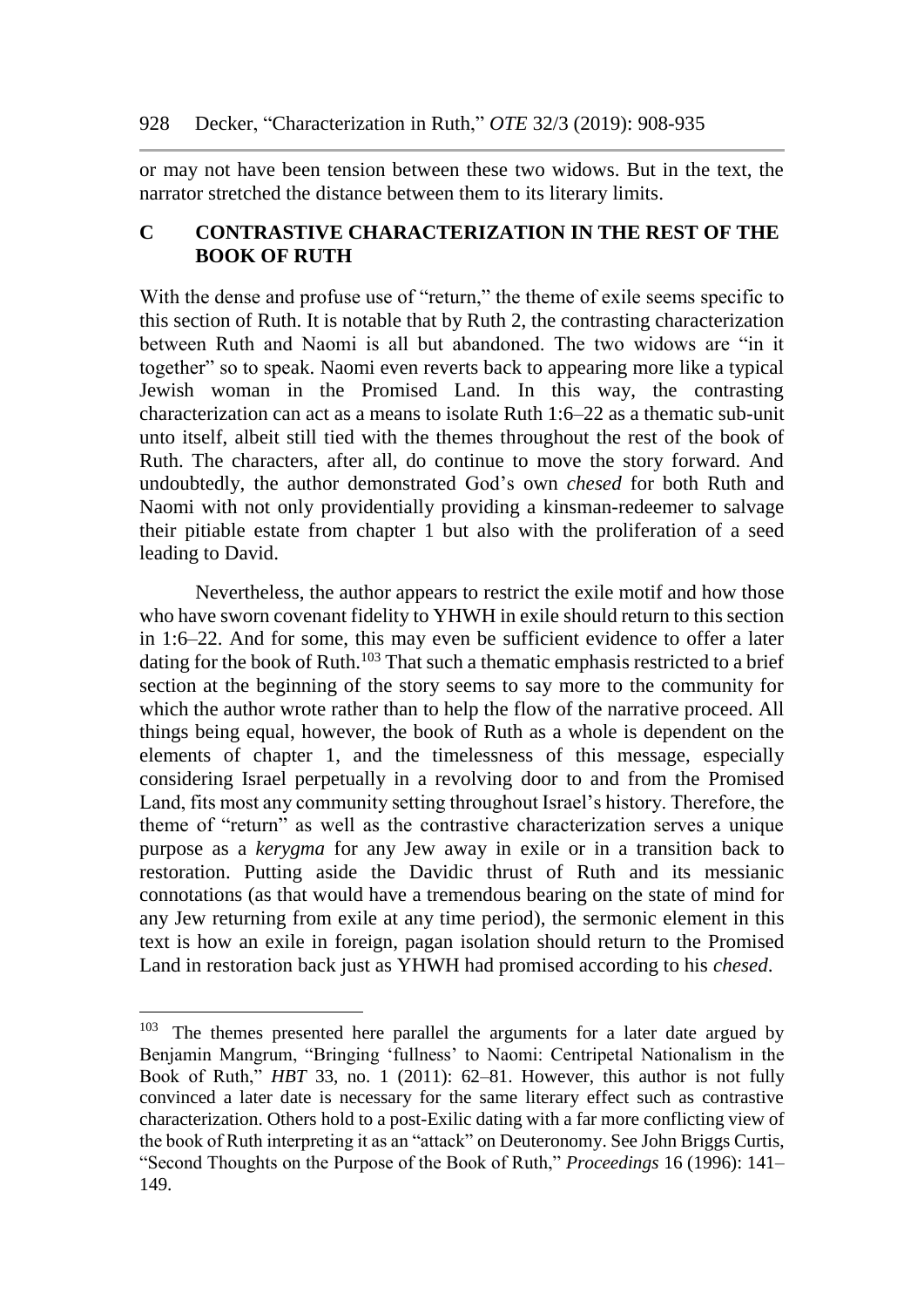or may not have been tension between these two widows. But in the text, the narrator stretched the distance between them to its literary limits.

## **C CONTRASTIVE CHARACTERIZATION IN THE REST OF THE BOOK OF RUTH**

With the dense and profuse use of "return," the theme of exile seems specific to this section of Ruth. It is notable that by Ruth 2, the contrasting characterization between Ruth and Naomi is all but abandoned. The two widows are "in it together" so to speak. Naomi even reverts back to appearing more like a typical Jewish woman in the Promised Land. In this way, the contrasting characterization can act as a means to isolate Ruth 1:6–22 as a thematic sub-unit unto itself, albeit still tied with the themes throughout the rest of the book of Ruth. The characters, after all, do continue to move the story forward. And undoubtedly, the author demonstrated God's own *chesed* for both Ruth and Naomi with not only providentially providing a kinsman-redeemer to salvage their pitiable estate from chapter 1 but also with the proliferation of a seed leading to David.

Nevertheless, the author appears to restrict the exile motif and how those who have sworn covenant fidelity to YHWH in exile should return to this section in 1:6–22. And for some, this may even be sufficient evidence to offer a later dating for the book of Ruth.<sup>103</sup> That such a thematic emphasis restricted to a brief section at the beginning of the story seems to say more to the community for which the author wrote rather than to help the flow of the narrative proceed. All things being equal, however, the book of Ruth as a whole is dependent on the elements of chapter 1, and the timelessness of this message, especially considering Israel perpetually in a revolving door to and from the Promised Land, fits most any community setting throughout Israel's history. Therefore, the theme of "return" as well as the contrastive characterization serves a unique purpose as a *kerygma* for any Jew away in exile or in a transition back to restoration. Putting aside the Davidic thrust of Ruth and its messianic connotations (as that would have a tremendous bearing on the state of mind for any Jew returning from exile at any time period), the sermonic element in this text is how an exile in foreign, pagan isolation should return to the Promised Land in restoration back just as YHWH had promised according to his *chesed*.

<sup>&</sup>lt;sup>103</sup> The themes presented here parallel the arguments for a later date argued by Benjamin Mangrum, "Bringing 'fullness' to Naomi: Centripetal Nationalism in the Book of Ruth," *HBT* 33, no. 1 (2011): 62–81. However, this author is not fully convinced a later date is necessary for the same literary effect such as contrastive characterization. Others hold to a post-Exilic dating with a far more conflicting view of the book of Ruth interpreting it as an "attack" on Deuteronomy. See John Briggs Curtis, "Second Thoughts on the Purpose of the Book of Ruth," *Proceedings* 16 (1996): 141– 149.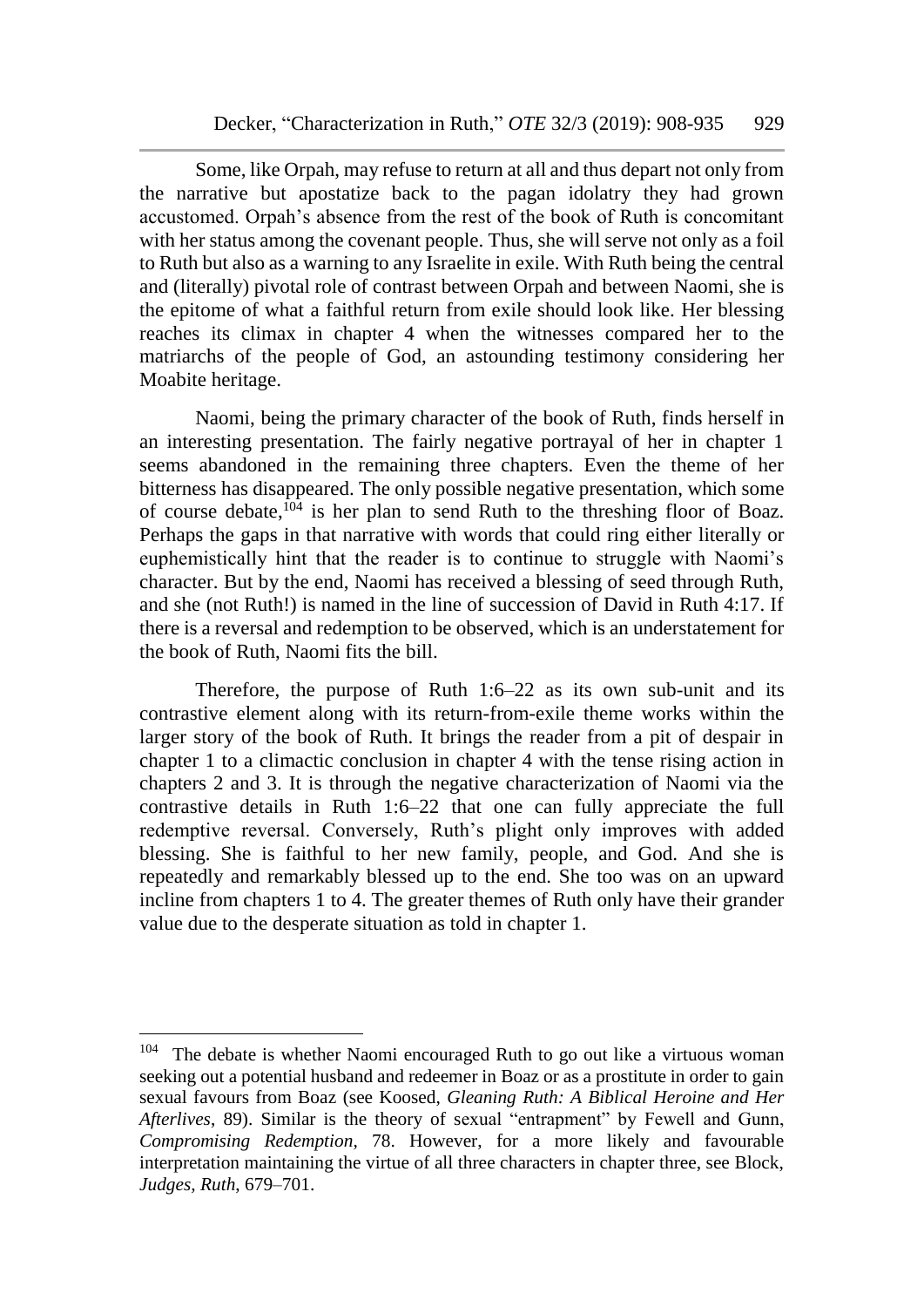Some, like Orpah, may refuse to return at all and thus depart not only from the narrative but apostatize back to the pagan idolatry they had grown accustomed. Orpah's absence from the rest of the book of Ruth is concomitant with her status among the covenant people. Thus, she will serve not only as a foil to Ruth but also as a warning to any Israelite in exile. With Ruth being the central and (literally) pivotal role of contrast between Orpah and between Naomi, she is the epitome of what a faithful return from exile should look like. Her blessing reaches its climax in chapter 4 when the witnesses compared her to the matriarchs of the people of God, an astounding testimony considering her Moabite heritage.

Naomi, being the primary character of the book of Ruth, finds herself in an interesting presentation. The fairly negative portrayal of her in chapter 1 seems abandoned in the remaining three chapters. Even the theme of her bitterness has disappeared. The only possible negative presentation, which some of course debate, <sup>104</sup> is her plan to send Ruth to the threshing floor of Boaz. Perhaps the gaps in that narrative with words that could ring either literally or euphemistically hint that the reader is to continue to struggle with Naomi's character. But by the end, Naomi has received a blessing of seed through Ruth, and she (not Ruth!) is named in the line of succession of David in Ruth 4:17. If there is a reversal and redemption to be observed, which is an understatement for the book of Ruth, Naomi fits the bill.

Therefore, the purpose of Ruth 1:6–22 as its own sub-unit and its contrastive element along with its return-from-exile theme works within the larger story of the book of Ruth. It brings the reader from a pit of despair in chapter 1 to a climactic conclusion in chapter 4 with the tense rising action in chapters 2 and 3. It is through the negative characterization of Naomi via the contrastive details in Ruth 1:6–22 that one can fully appreciate the full redemptive reversal. Conversely, Ruth's plight only improves with added blessing. She is faithful to her new family, people, and God. And she is repeatedly and remarkably blessed up to the end. She too was on an upward incline from chapters 1 to 4. The greater themes of Ruth only have their grander value due to the desperate situation as told in chapter 1.

 $104$  The debate is whether Naomi encouraged Ruth to go out like a virtuous woman seeking out a potential husband and redeemer in Boaz or as a prostitute in order to gain sexual favours from Boaz (see Koosed, *Gleaning Ruth: A Biblical Heroine and Her Afterlives*, 89). Similar is the theory of sexual "entrapment" by Fewell and Gunn, *Compromising Redemption*, 78. However, for a more likely and favourable interpretation maintaining the virtue of all three characters in chapter three, see Block, *Judges, Ruth*, 679–701.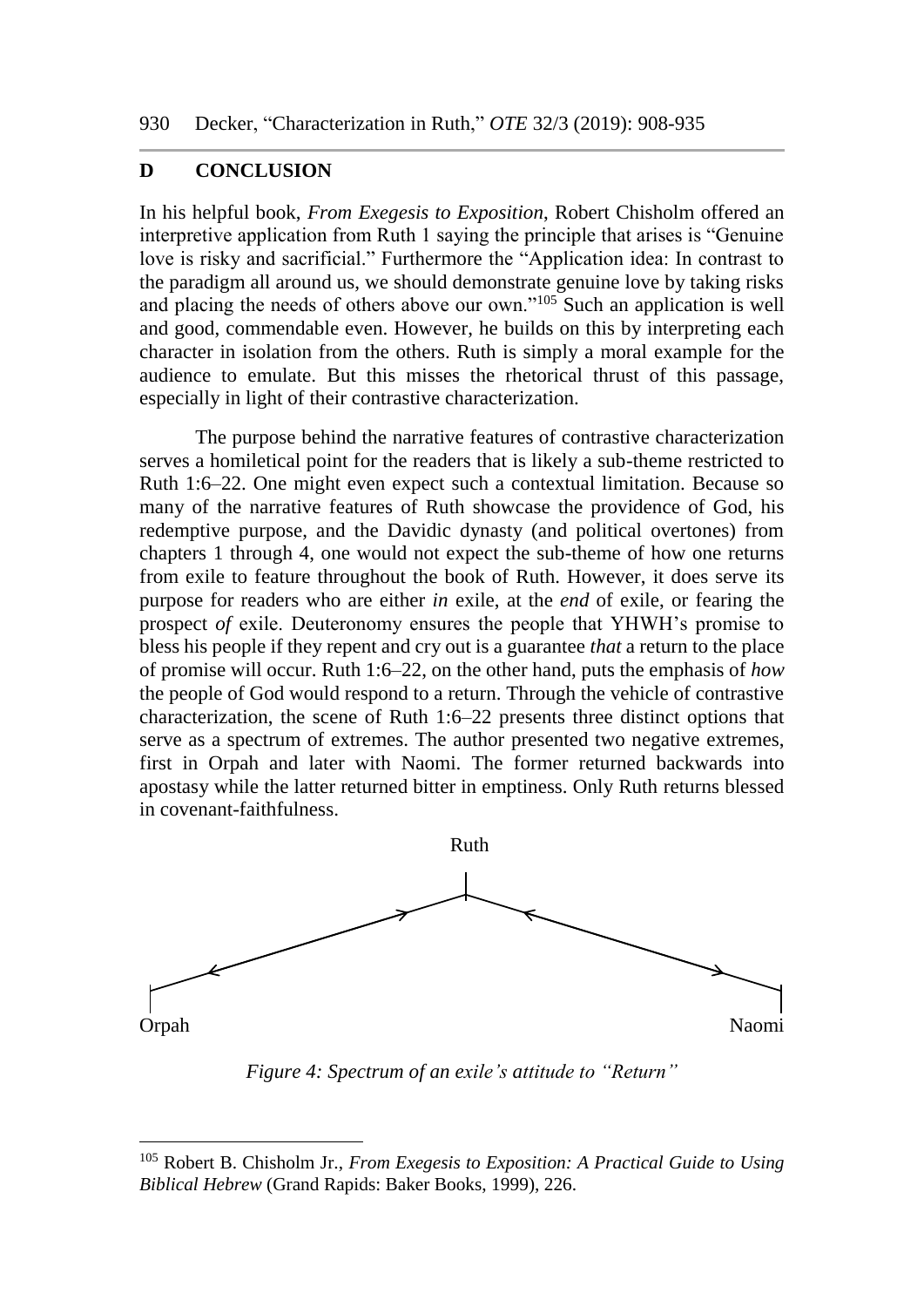#### **D CONCLUSION**

l

In his helpful book, *From Exegesis to Exposition*, Robert Chisholm offered an interpretive application from Ruth 1 saying the principle that arises is "Genuine love is risky and sacrificial." Furthermore the "Application idea: In contrast to the paradigm all around us, we should demonstrate genuine love by taking risks and placing the needs of others above our own." $105$  Such an application is well and good, commendable even. However, he builds on this by interpreting each character in isolation from the others. Ruth is simply a moral example for the audience to emulate. But this misses the rhetorical thrust of this passage, especially in light of their contrastive characterization.

The purpose behind the narrative features of contrastive characterization serves a homiletical point for the readers that is likely a sub-theme restricted to Ruth 1:6–22. One might even expect such a contextual limitation. Because so many of the narrative features of Ruth showcase the providence of God, his redemptive purpose, and the Davidic dynasty (and political overtones) from chapters 1 through 4, one would not expect the sub-theme of how one returns from exile to feature throughout the book of Ruth. However, it does serve its purpose for readers who are either *in* exile, at the *end* of exile, or fearing the prospect *of* exile. Deuteronomy ensures the people that YHWH's promise to bless his people if they repent and cry out is a guarantee *that* a return to the place of promise will occur. Ruth 1:6–22, on the other hand, puts the emphasis of *how* the people of God would respond to a return. Through the vehicle of contrastive characterization, the scene of Ruth 1:6–22 presents three distinct options that serve as a spectrum of extremes. The author presented two negative extremes, first in Orpah and later with Naomi. The former returned backwards into apostasy while the latter returned bitter in emptiness. Only Ruth returns blessed in covenant-faithfulness.



*Figure 4: Spectrum of an exile's attitude to "Return"*

<sup>105</sup> Robert B. Chisholm Jr., *From Exegesis to Exposition: A Practical Guide to Using Biblical Hebrew* (Grand Rapids: Baker Books, 1999), 226.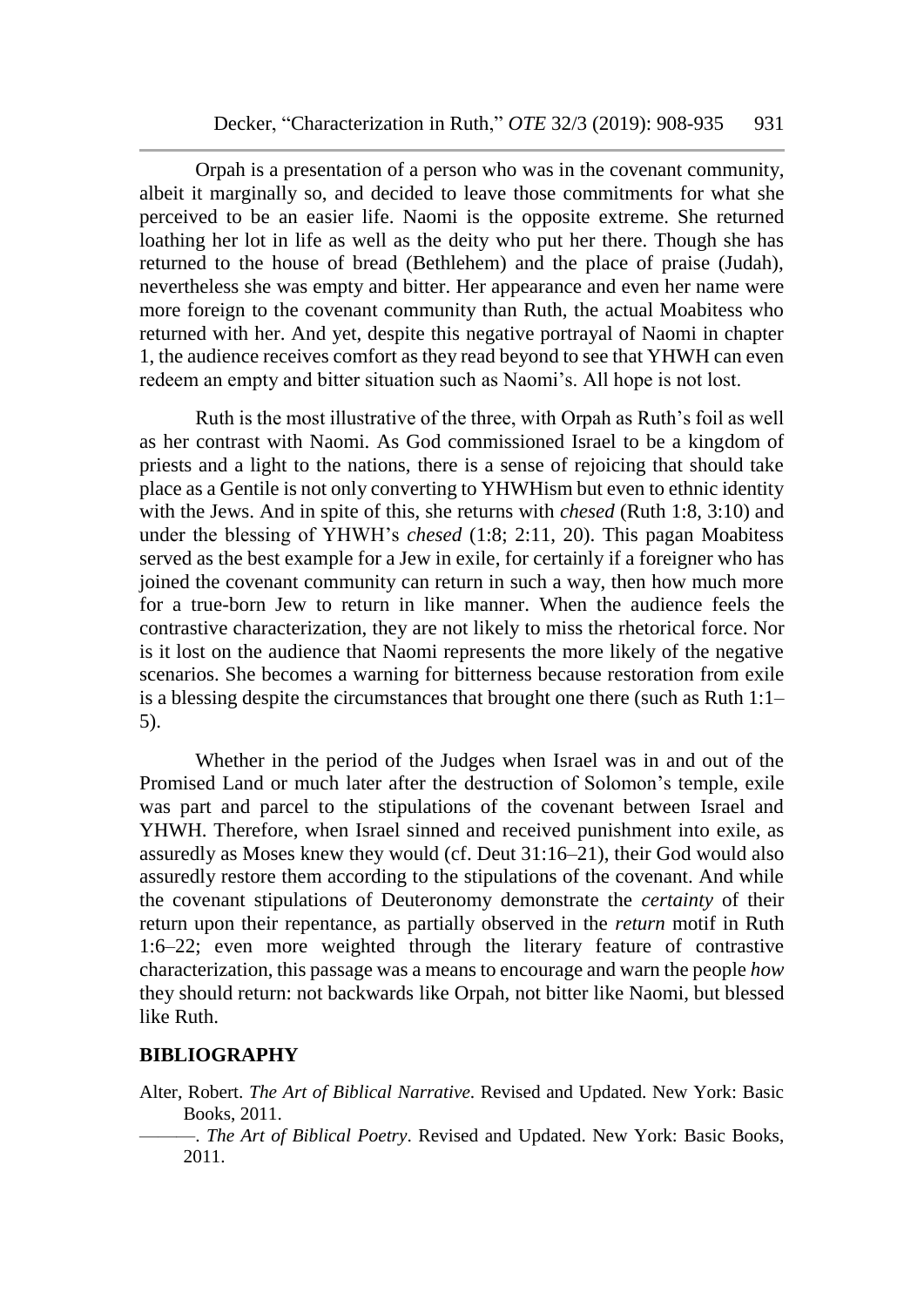Orpah is a presentation of a person who was in the covenant community, albeit it marginally so, and decided to leave those commitments for what she perceived to be an easier life. Naomi is the opposite extreme. She returned loathing her lot in life as well as the deity who put her there. Though she has returned to the house of bread (Bethlehem) and the place of praise (Judah), nevertheless she was empty and bitter. Her appearance and even her name were more foreign to the covenant community than Ruth, the actual Moabitess who returned with her. And yet, despite this negative portrayal of Naomi in chapter 1, the audience receives comfort as they read beyond to see that YHWH can even redeem an empty and bitter situation such as Naomi's. All hope is not lost.

Ruth is the most illustrative of the three, with Orpah as Ruth's foil as well as her contrast with Naomi. As God commissioned Israel to be a kingdom of priests and a light to the nations, there is a sense of rejoicing that should take place as a Gentile is not only converting to YHWHism but even to ethnic identity with the Jews. And in spite of this, she returns with *chesed* (Ruth 1:8, 3:10) and under the blessing of YHWH's *chesed* (1:8; 2:11, 20). This pagan Moabitess served as the best example for a Jew in exile, for certainly if a foreigner who has joined the covenant community can return in such a way, then how much more for a true-born Jew to return in like manner. When the audience feels the contrastive characterization, they are not likely to miss the rhetorical force. Nor is it lost on the audience that Naomi represents the more likely of the negative scenarios. She becomes a warning for bitterness because restoration from exile is a blessing despite the circumstances that brought one there (such as Ruth 1:1– 5).

Whether in the period of the Judges when Israel was in and out of the Promised Land or much later after the destruction of Solomon's temple, exile was part and parcel to the stipulations of the covenant between Israel and YHWH. Therefore, when Israel sinned and received punishment into exile, as assuredly as Moses knew they would (cf. Deut 31:16–21), their God would also assuredly restore them according to the stipulations of the covenant. And while the covenant stipulations of Deuteronomy demonstrate the *certainty* of their return upon their repentance, as partially observed in the *return* motif in Ruth 1:6–22; even more weighted through the literary feature of contrastive characterization, this passage was a means to encourage and warn the people *how* they should return: not backwards like Orpah, not bitter like Naomi, but blessed like Ruth.

#### **BIBLIOGRAPHY**

- Alter, Robert. *The Art of Biblical Narrative*. Revised and Updated. New York: Basic Books, 2011.
	- ———. *The Art of Biblical Poetry*. Revised and Updated. New York: Basic Books, 2011.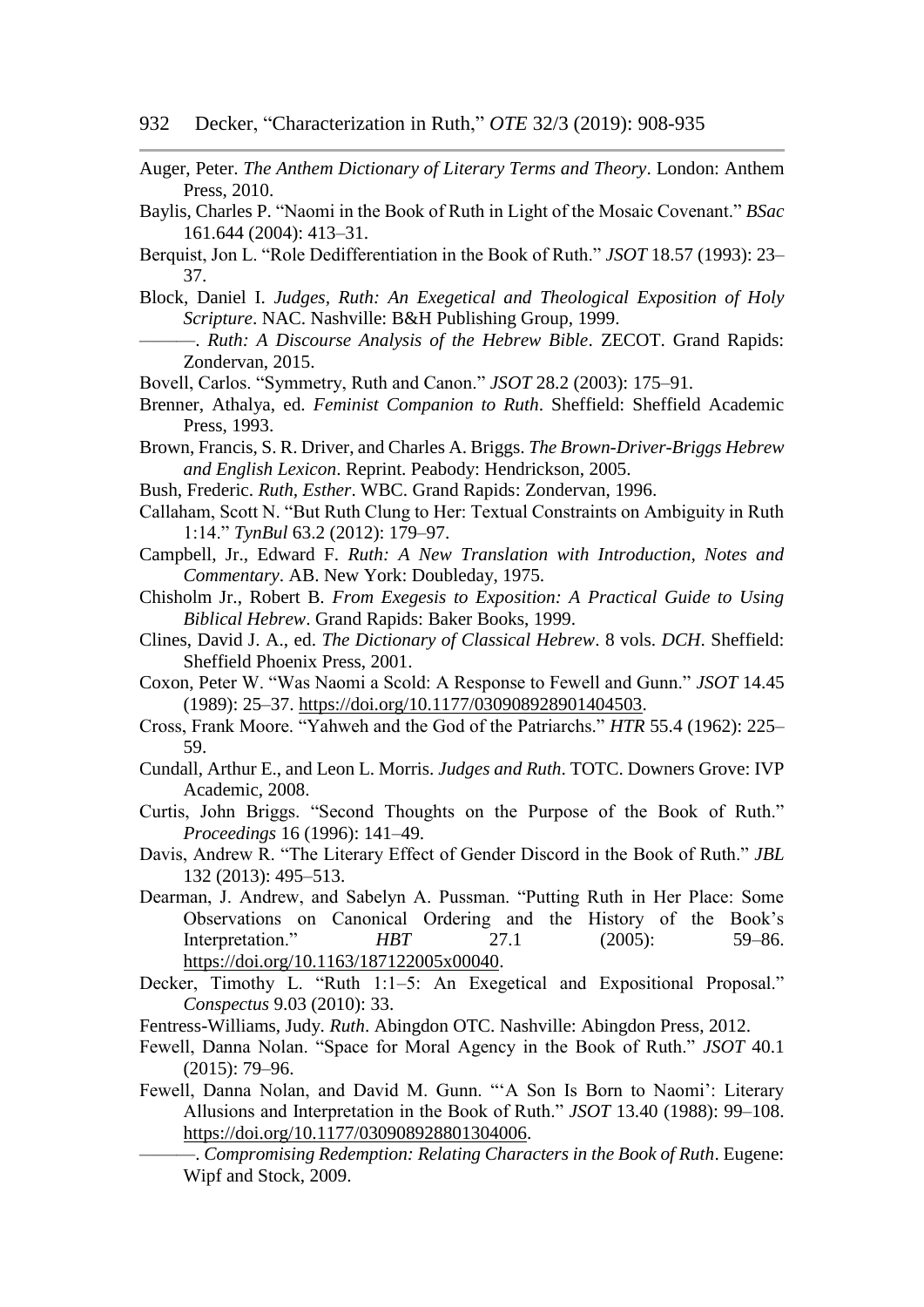Auger, Peter. *The Anthem Dictionary of Literary Terms and Theory*. London: Anthem Press, 2010.

- Baylis, Charles P. "Naomi in the Book of Ruth in Light of the Mosaic Covenant." *BSac* 161.644 (2004): 413–31.
- Berquist, Jon L. "Role Dedifferentiation in the Book of Ruth." *JSOT* 18.57 (1993): 23– 37.
- Block, Daniel I. *Judges, Ruth: An Exegetical and Theological Exposition of Holy Scripture*. NAC. Nashville: B&H Publishing Group, 1999.
	- ———. *Ruth: A Discourse Analysis of the Hebrew Bible*. ZECOT. Grand Rapids: Zondervan, 2015.
- Bovell, Carlos. "Symmetry, Ruth and Canon." *JSOT* 28.2 (2003): 175–91.
- Brenner, Athalya, ed. *Feminist Companion to Ruth*. Sheffield: Sheffield Academic Press, 1993.
- Brown, Francis, S. R. Driver, and Charles A. Briggs. *The Brown-Driver-Briggs Hebrew and English Lexicon*. Reprint. Peabody: Hendrickson, 2005.
- Bush, Frederic. *Ruth, Esther*. WBC. Grand Rapids: Zondervan, 1996.
- Callaham, Scott N. "But Ruth Clung to Her: Textual Constraints on Ambiguity in Ruth 1:14." *TynBul* 63.2 (2012): 179–97.
- Campbell, Jr., Edward F. *Ruth: A New Translation with Introduction, Notes and Commentary*. AB. New York: Doubleday, 1975.
- Chisholm Jr., Robert B. *From Exegesis to Exposition: A Practical Guide to Using Biblical Hebrew*. Grand Rapids: Baker Books, 1999.
- Clines, David J. A., ed. *The Dictionary of Classical Hebrew*. 8 vols. *DCH*. Sheffield: Sheffield Phoenix Press, 2001.
- Coxon, Peter W. "Was Naomi a Scold: A Response to Fewell and Gunn." *JSOT* 14.45 (1989): 25–37. [https://doi.org/10.1177/030908928901404503.](https://doi.org/10.1177/030908928901404503)
- Cross, Frank Moore. "Yahweh and the God of the Patriarchs." *HTR* 55.4 (1962): 225– 59.
- Cundall, Arthur E., and Leon L. Morris. *Judges and Ruth*. TOTC. Downers Grove: IVP Academic, 2008.
- Curtis, John Briggs. "Second Thoughts on the Purpose of the Book of Ruth." *Proceedings* 16 (1996): 141–49.
- Davis, Andrew R. "The Literary Effect of Gender Discord in the Book of Ruth." *JBL* 132 (2013): 495–513.
- Dearman, J. Andrew, and Sabelyn A. Pussman. "Putting Ruth in Her Place: Some Observations on Canonical Ordering and the History of the Book's Interpretation." *HBT* 27.1 (2005): 59–86. [https://doi.org/10.1163/187122005x00040.](https://doi.org/10.1163/187122005x00040)
- Decker, Timothy L. "Ruth 1:1–5: An Exegetical and Expositional Proposal." *Conspectus* 9.03 (2010): 33.
- Fentress-Williams, Judy. *Ruth*. Abingdon OTC. Nashville: Abingdon Press, 2012.
- Fewell, Danna Nolan. "Space for Moral Agency in the Book of Ruth." *JSOT* 40.1 (2015): 79–96.
- Fewell, Danna Nolan, and David M. Gunn. "'A Son Is Born to Naomi': Literary Allusions and Interpretation in the Book of Ruth." *JSOT* 13.40 (1988): 99–108. [https://doi.org/10.1177/030908928801304006.](https://doi.org/10.1177/030908928801304006)

<sup>———.</sup> *Compromising Redemption: Relating Characters in the Book of Ruth*. Eugene: Wipf and Stock, 2009.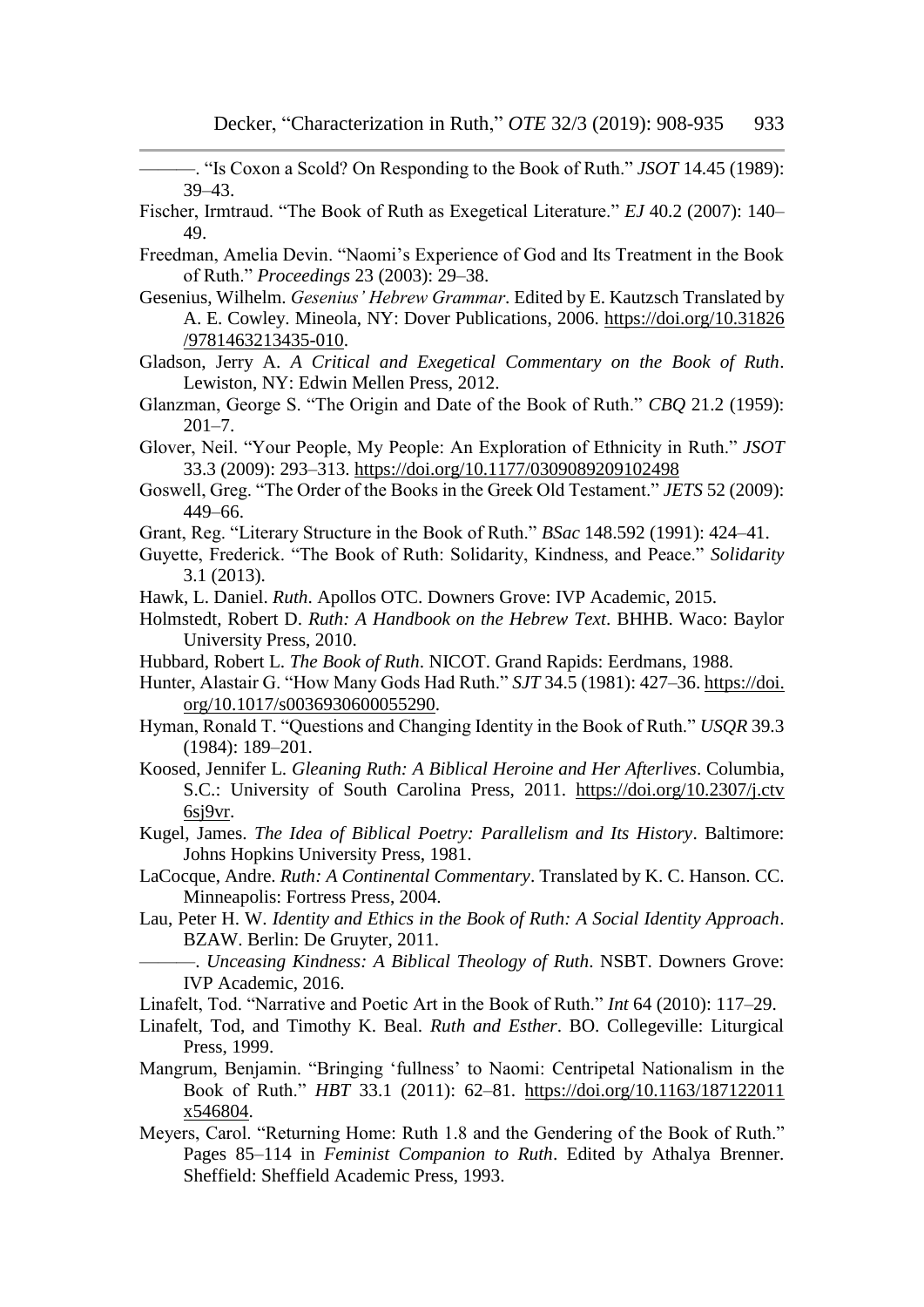———. "Is Coxon a Scold? On Responding to the Book of Ruth." *JSOT* 14.45 (1989): 39–43.

- Fischer, Irmtraud. "The Book of Ruth as Exegetical Literature." *EJ* 40.2 (2007): 140– 49.
- Freedman, Amelia Devin. "Naomi's Experience of God and Its Treatment in the Book of Ruth." *Proceedings* 23 (2003): 29–38.
- Gesenius, Wilhelm. *Gesenius' Hebrew Grammar*. Edited by E. Kautzsch Translated by A. E. Cowley. Mineola, NY: Dover Publications, 2006. [https://doi.org/10.31826](https://doi.org/10.31826%20/9781463213435-010)  [/9781463213435-010.](https://doi.org/10.31826%20/9781463213435-010)
- Gladson, Jerry A. *A Critical and Exegetical Commentary on the Book of Ruth*. Lewiston, NY: Edwin Mellen Press, 2012.
- Glanzman, George S. "The Origin and Date of the Book of Ruth." *CBQ* 21.2 (1959):  $201 - 7$ .
- Glover, Neil. "Your People, My People: An Exploration of Ethnicity in Ruth." *JSOT* 33.3 (2009): 293–313. <https://doi.org/10.1177/0309089209102498>
- Goswell, Greg. "The Order of the Books in the Greek Old Testament." *JETS* 52 (2009): 449–66.
- Grant, Reg. "Literary Structure in the Book of Ruth." *BSac* 148.592 (1991): 424–41.
- Guyette, Frederick. "The Book of Ruth: Solidarity, Kindness, and Peace." *Solidarity* 3.1 (2013).
- Hawk, L. Daniel. *Ruth*. Apollos OTC. Downers Grove: IVP Academic, 2015.
- Holmstedt, Robert D. *Ruth: A Handbook on the Hebrew Text*. BHHB. Waco: Baylor University Press, 2010.
- Hubbard, Robert L. *The Book of Ruth*. NICOT. Grand Rapids: Eerdmans, 1988.
- Hunter, Alastair G. "How Many Gods Had Ruth." *SJT* 34.5 (1981): 427–36. https://doi. org/10.1017/s0036930600055290.
- Hyman, Ronald T. "Questions and Changing Identity in the Book of Ruth." *USQR* 39.3 (1984): 189–201.
- Koosed, Jennifer L. *Gleaning Ruth: A Biblical Heroine and Her Afterlives*. Columbia, S.C.: University of South Carolina Press, 2011. [https://doi.org/10.2307/j.ctv](https://doi.org/10.2307/j.ctv%206sj9vr)  [6sj9vr.](https://doi.org/10.2307/j.ctv%206sj9vr)
- Kugel, James. *The Idea of Biblical Poetry: Parallelism and Its History*. Baltimore: Johns Hopkins University Press, 1981.
- LaCocque, Andre. *Ruth: A Continental Commentary*. Translated by K. C. Hanson. CC. Minneapolis: Fortress Press, 2004.
- Lau, Peter H. W. *Identity and Ethics in the Book of Ruth: A Social Identity Approach*. BZAW. Berlin: De Gruyter, 2011.
	- ———. *Unceasing Kindness: A Biblical Theology of Ruth*. NSBT. Downers Grove: IVP Academic, 2016.
- Linafelt, Tod. "Narrative and Poetic Art in the Book of Ruth." *Int* 64 (2010): 117–29.
- Linafelt, Tod, and Timothy K. Beal. *Ruth and Esther*. BO. Collegeville: Liturgical Press, 1999.
- Mangrum, Benjamin. "Bringing 'fullness' to Naomi: Centripetal Nationalism in the Book of Ruth." *HBT* 33.1 (2011): 62–81. [https://doi.org/10.1163/187122011](https://doi.org/10.1163/187122011%20x546804)  [x546804.](https://doi.org/10.1163/187122011%20x546804)
- Meyers, Carol. "Returning Home: Ruth 1.8 and the Gendering of the Book of Ruth." Pages 85–114 in *Feminist Companion to Ruth*. Edited by Athalya Brenner. Sheffield: Sheffield Academic Press, 1993.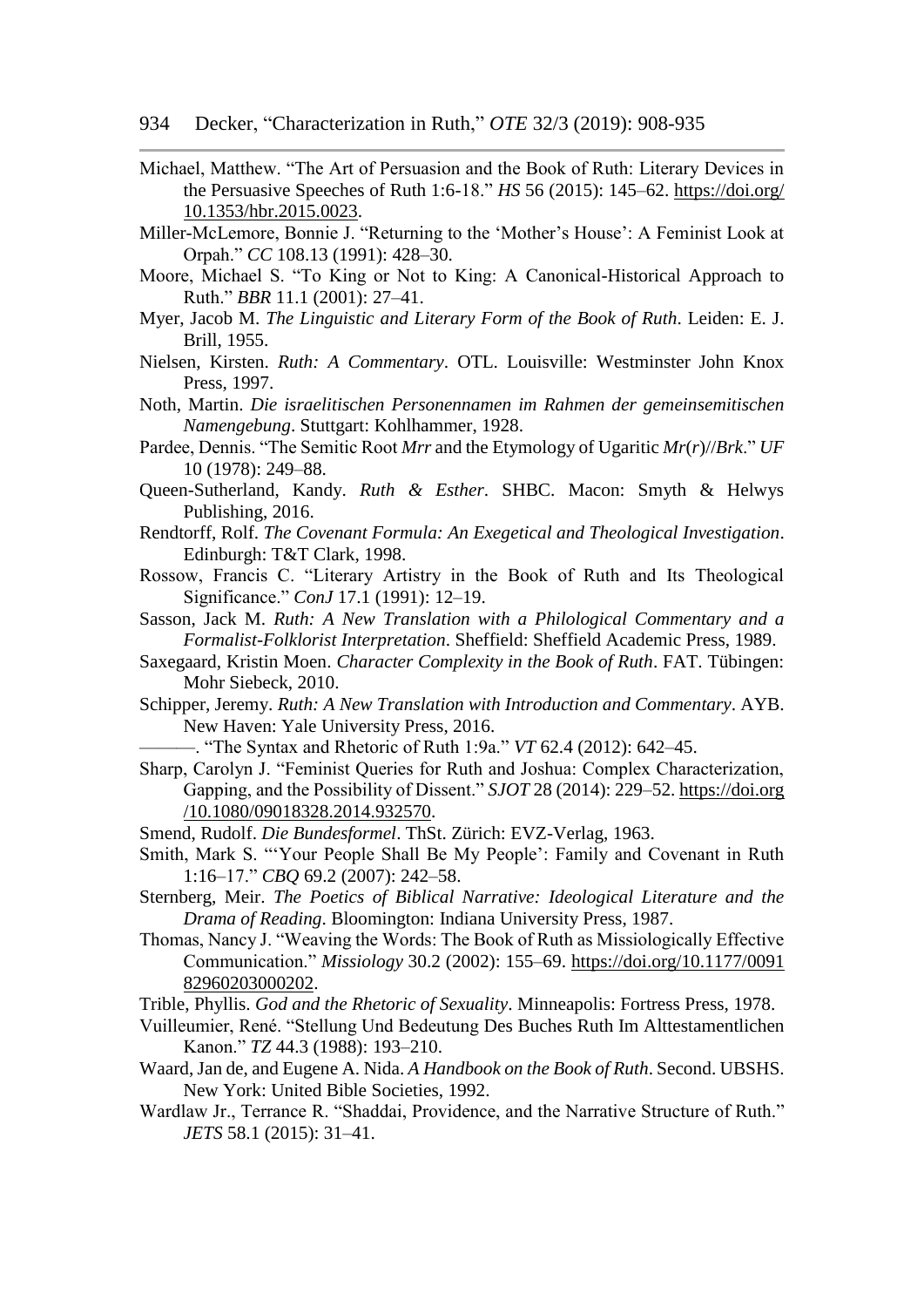- Michael, Matthew. "The Art of Persuasion and the Book of Ruth: Literary Devices in the Persuasive Speeches of Ruth 1:6-18." *HS* 56 (2015): 145–62. [https://doi.org/](https://doi.org/%2010.1353/hbr.2015.0023)  [10.1353/hbr.2015.0023.](https://doi.org/%2010.1353/hbr.2015.0023)
- Miller-McLemore, Bonnie J. "Returning to the 'Mother's House': A Feminist Look at Orpah." *CC* 108.13 (1991): 428–30.
- Moore, Michael S. "To King or Not to King: A Canonical-Historical Approach to Ruth." *BBR* 11.1 (2001): 27–41.
- Myer, Jacob M. *The Linguistic and Literary Form of the Book of Ruth*. Leiden: E. J. Brill, 1955.
- Nielsen, Kirsten. *Ruth: A Commentary*. OTL. Louisville: Westminster John Knox Press, 1997.
- Noth, Martin. *Die israelitischen Personennamen im Rahmen der gemeinsemitischen Namengebung*. Stuttgart: Kohlhammer, 1928.
- Pardee, Dennis. "The Semitic Root *Mrr* and the Etymology of Ugaritic *Mr*(*r*)//*Brk*." *UF* 10 (1978): 249–88.
- Queen-Sutherland, Kandy. *Ruth & Esther*. SHBC. Macon: Smyth & Helwys Publishing, 2016.
- Rendtorff, Rolf. *The Covenant Formula: An Exegetical and Theological Investigation*. Edinburgh: T&T Clark, 1998.
- Rossow, Francis C. "Literary Artistry in the Book of Ruth and Its Theological Significance." *ConJ* 17.1 (1991): 12–19.
- Sasson, Jack M. *Ruth: A New Translation with a Philological Commentary and a Formalist-Folklorist Interpretation*. Sheffield: Sheffield Academic Press, 1989.
- Saxegaard, Kristin Moen. *Character Complexity in the Book of Ruth*. FAT. Tübingen: Mohr Siebeck, 2010.
- Schipper, Jeremy. *Ruth: A New Translation with Introduction and Commentary*. AYB. New Haven: Yale University Press, 2016.
	- ———. "The Syntax and Rhetoric of Ruth 1:9a." *VT* 62.4 (2012): 642–45.
- Sharp, Carolyn J. "Feminist Queries for Ruth and Joshua: Complex Characterization, Gapping, and the Possibility of Dissent." *SJOT* 28 (2014): 229–52. https://doi.org /10.1080/09018328.2014.932570.
- Smend, Rudolf. *Die Bundesformel*. ThSt. Zürich: EVZ-Verlag, 1963.
- Smith, Mark S. "'Your People Shall Be My People': Family and Covenant in Ruth 1:16–17." *CBQ* 69.2 (2007): 242–58.
- Sternberg, Meir. *The Poetics of Biblical Narrative: Ideological Literature and the Drama of Reading*. Bloomington: Indiana University Press, 1987.
- Thomas, Nancy J. "Weaving the Words: The Book of Ruth as Missiologically Effective Communication." *Missiology* 30.2 (2002): 155–69. [https://doi.org/10.1177/0091](https://doi.org/10.1177/0091%2082960203000202)  [82960203000202.](https://doi.org/10.1177/0091%2082960203000202)
- Trible, Phyllis. *God and the Rhetoric of Sexuality*. Minneapolis: Fortress Press, 1978.
- Vuilleumier, René. "Stellung Und Bedeutung Des Buches Ruth Im Alttestamentlichen Kanon." *TZ* 44.3 (1988): 193–210.
- Waard, Jan de, and Eugene A. Nida. *A Handbook on the Book of Ruth*. Second. UBSHS. New York: United Bible Societies, 1992.
- Wardlaw Jr., Terrance R. "Shaddai, Providence, and the Narrative Structure of Ruth." *JETS* 58.1 (2015): 31–41.